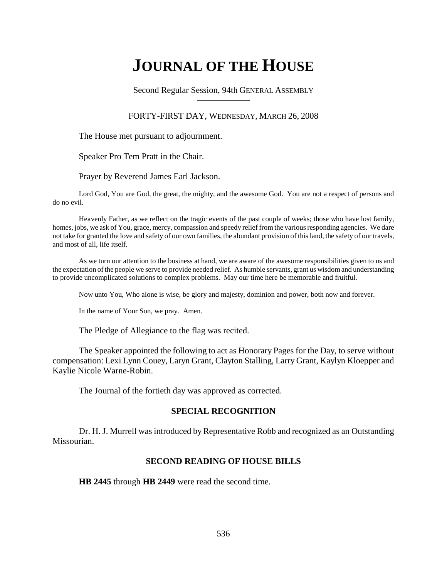# **JOURNAL OF THE HOUSE**

Second Regular Session, 94th GENERAL ASSEMBLY

### FORTY-FIRST DAY, WEDNESDAY, MARCH 26, 2008

The House met pursuant to adjournment.

Speaker Pro Tem Pratt in the Chair.

Prayer by Reverend James Earl Jackson.

Lord God, You are God, the great, the mighty, and the awesome God. You are not a respect of persons and do no evil.

Heavenly Father, as we reflect on the tragic events of the past couple of weeks; those who have lost family, homes, jobs, we ask of You, grace, mercy, compassion and speedy relief from the various responding agencies. We dare not take for granted the love and safety of our own families, the abundant provision of this land, the safety of our travels, and most of all, life itself.

As we turn our attention to the business at hand, we are aware of the awesome responsibilities given to us and the expectation of the people we serve to provide needed relief. As humble servants, grant us wisdom and understanding to provide uncomplicated solutions to complex problems. May our time here be memorable and fruitful.

Now unto You, Who alone is wise, be glory and majesty, dominion and power, both now and forever.

In the name of Your Son, we pray. Amen.

The Pledge of Allegiance to the flag was recited.

The Speaker appointed the following to act as Honorary Pages for the Day, to serve without compensation: Lexi Lynn Couey, Laryn Grant, Clayton Stalling, Larry Grant, Kaylyn Kloepper and Kaylie Nicole Warne-Robin.

The Journal of the fortieth day was approved as corrected.

### **SPECIAL RECOGNITION**

Dr. H. J. Murrell was introduced by Representative Robb and recognized as an Outstanding Missourian.

### **SECOND READING OF HOUSE BILLS**

**HB 2445** through **HB 2449** were read the second time.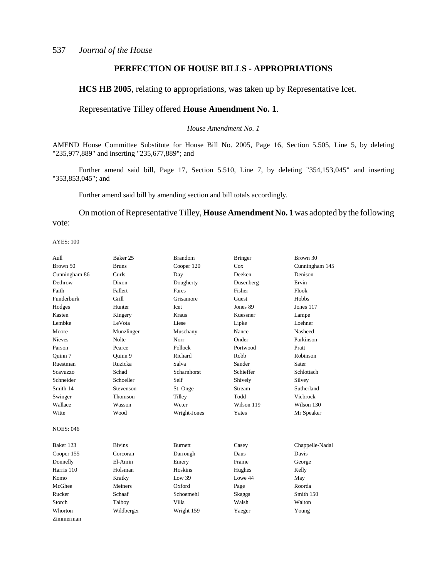## **PERFECTION OF HOUSE BILLS - APPROPRIATIONS**

**HCS HB 2005**, relating to appropriations, was taken up by Representative Icet.

### Representative Tilley offered **House Amendment No. 1**.

*House Amendment No. 1*

AMEND House Committee Substitute for House Bill No. 2005, Page 16, Section 5.505, Line 5, by deleting "235,977,889" and inserting "235,677,889"; and

Further amend said bill, Page 17, Section 5.510, Line 7, by deleting "354,153,045" and inserting "353,853,045"; and

Further amend said bill by amending section and bill totals accordingly.

On motion of Representative Tilley, **House Amendment No. 1** was adopted by the following vote:

| Aull             | Baker 25      | <b>Brandom</b> | <b>Bringer</b> | Brown 30        |
|------------------|---------------|----------------|----------------|-----------------|
| Brown 50         | <b>Bruns</b>  | Cooper 120     | Cox            | Cunningham 145  |
| Cunningham 86    | Curls         | Day            | Deeken         | Denison         |
| Dethrow          | Dixon         | Dougherty      | Dusenberg      | Ervin           |
| Faith            | Fallert       | Fares          | Fisher         | Flook           |
| Funderburk       | Grill         | Grisamore      | Guest          | <b>Hobbs</b>    |
| Hodges           | Hunter        | Icet           | Jones 89       | Jones 117       |
| Kasten           | Kingery       | Kraus          | Kuessner       | Lampe           |
| Lembke           | LeVota        | Liese          | Lipke          | Loehner         |
| Moore            | Munzlinger    | Muschany       | Nance          | Nasheed         |
| <b>Nieves</b>    | <b>Nolte</b>  | Norr           | Onder          | Parkinson       |
| Parson           | Pearce        | Pollock        | Portwood       | Pratt           |
| Ouinn 7          | Ouinn 9       | Richard        | Robb           | Robinson        |
| Ruestman         | Ruzicka       | Salva          | Sander         | Sater           |
| Scavuzzo         | Schad         | Scharnhorst    | Schieffer      | Schlottach      |
| Schneider        | Schoeller     | Self           | Shively        | Silvey          |
| Smith 14         | Stevenson     | St. Onge       | Stream         | Sutherland      |
| Swinger          | Thomson       | Tilley         | Todd           | Viebrock        |
| Wallace          | Wasson        | Weter          | Wilson 119     | Wilson 130      |
| Witte            | Wood          | Wright-Jones   | Yates          | Mr Speaker      |
| <b>NOES: 046</b> |               |                |                |                 |
| Baker 123        | <b>Bivins</b> | <b>Burnett</b> | Casey          | Chappelle-Nadal |
| Cooper 155       | Corcoran      | Darrough       | Daus           | Davis           |
| Donnelly         | El-Amin       | Emery          | Frame          | George          |
| Harris 110       | Holsman       | Hoskins        | Hughes         | Kelly           |
| Komo             | Kratky        | Low 39         | Lowe 44        | May             |
| McGhee           | Meiners       | Oxford         | Page           | Roorda          |
| Rucker           | Schaaf        | Schoemehl      | <b>Skaggs</b>  | Smith 150       |
| Storch           | Talboy        | Villa          | Walsh          | Walton          |
| Whorton          | Wildberger    | Wright 159     | Yaeger         | Young           |
| Zimmerman        |               |                |                |                 |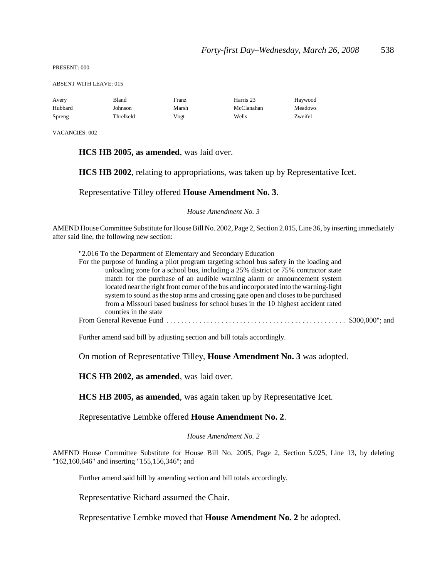PRESENT: 000

ABSENT WITH LEAVE: 015

| Avery   | Bland     | Franz | Harris 23  | Haywood |
|---------|-----------|-------|------------|---------|
| Hubbard | Johnson   | Marsh | McClanahan | Meadows |
| Spreng  | Threlkeld | Vogt  | Wells      | Zweifel |

VACANCIES: 002

### **HCS HB 2005, as amended**, was laid over.

**HCS HB 2002**, relating to appropriations, was taken up by Representative Icet.

Representative Tilley offered **House Amendment No. 3**.

*House Amendment No. 3*

AMEND House Committee Substitute for House Bill No. 2002, Page 2, Section 2.015, Line 36, by inserting immediately after said line, the following new section:

"2.016 To the Department of Elementary and Secondary Education

| For the purpose of funding a pilot program targeting school bus safety in the loading and |  |
|-------------------------------------------------------------------------------------------|--|
| unloading zone for a school bus, including a 25% district or 75% contractor state         |  |
| match for the purchase of an audible warning alarm or announcement system                 |  |
| located near the right front corner of the bus and incorporated into the warning-light    |  |
| system to sound as the stop arms and crossing gate open and closes to be purchased        |  |
| from a Missouri based business for school buses in the 10 highest accident rated          |  |
| counties in the state                                                                     |  |
|                                                                                           |  |

Further amend said bill by adjusting section and bill totals accordingly.

On motion of Representative Tilley, **House Amendment No. 3** was adopted.

**HCS HB 2002, as amended**, was laid over.

**HCS HB 2005, as amended**, was again taken up by Representative Icet.

Representative Lembke offered **House Amendment No. 2**.

*House Amendment No. 2*

AMEND House Committee Substitute for House Bill No. 2005, Page 2, Section 5.025, Line 13, by deleting "162,160,646" and inserting "155,156,346"; and

Further amend said bill by amending section and bill totals accordingly.

Representative Richard assumed the Chair.

Representative Lembke moved that **House Amendment No. 2** be adopted.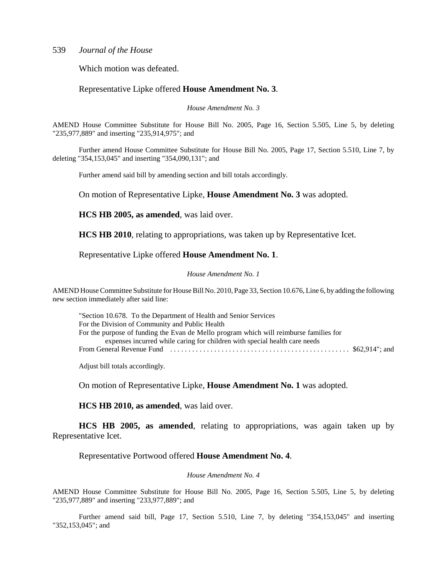Which motion was defeated.

### Representative Lipke offered **House Amendment No. 3**.

*House Amendment No. 3*

AMEND House Committee Substitute for House Bill No. 2005, Page 16, Section 5.505, Line 5, by deleting "235,977,889" and inserting "235,914,975"; and

Further amend House Committee Substitute for House Bill No. 2005, Page 17, Section 5.510, Line 7, by deleting "354,153,045" and inserting "354,090,131"; and

Further amend said bill by amending section and bill totals accordingly.

On motion of Representative Lipke, **House Amendment No. 3** was adopted.

**HCS HB 2005, as amended**, was laid over.

**HCS HB 2010**, relating to appropriations, was taken up by Representative Icet.

Representative Lipke offered **House Amendment No. 1**.

#### *House Amendment No. 1*

AMEND House Committee Substitute for House Bill No. 2010, Page 33, Section 10.676, Line 6, by adding the following new section immediately after said line:

"Section 10.678. To the Department of Health and Senior Services For the Division of Community and Public Health For the purpose of funding the Evan de Mello program which will reimburse families for expenses incurred while caring for children with special health care needs From General Revenue Fund . . . . . . . . . . . . . . . . . . . . . . . . . . . . . . . . . . . . . . . . . . . . . . . . . \$62,914"; and

Adjust bill totals accordingly.

On motion of Representative Lipke, **House Amendment No. 1** was adopted.

**HCS HB 2010, as amended**, was laid over.

**HCS HB 2005, as amended**, relating to appropriations, was again taken up by Representative Icet.

Representative Portwood offered **House Amendment No. 4**.

#### *House Amendment No. 4*

AMEND House Committee Substitute for House Bill No. 2005, Page 16, Section 5.505, Line 5, by deleting "235,977,889" and inserting "233,977,889"; and

Further amend said bill, Page 17, Section 5.510, Line 7, by deleting "354,153,045" and inserting "352,153,045"; and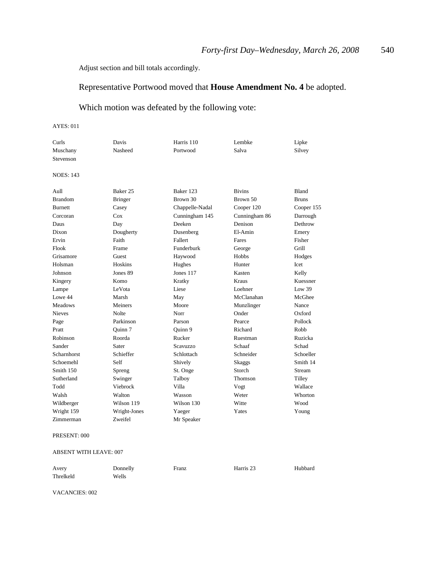Adjust section and bill totals accordingly.

## Representative Portwood moved that **House Amendment No. 4** be adopted.

## Which motion was defeated by the following vote:

#### AYES: 011

| Curls            | Davis          | Harris 110      | Lembke         | Lipke        |
|------------------|----------------|-----------------|----------------|--------------|
| Muschany         | Nasheed        | Portwood        | Salva          | Silvey       |
| Stevenson        |                |                 |                |              |
| <b>NOES: 143</b> |                |                 |                |              |
| Aull             | Baker 25       | Baker 123       | <b>Bivins</b>  | <b>Bland</b> |
| <b>Brandom</b>   | <b>Bringer</b> | Brown 30        | Brown 50       | <b>Bruns</b> |
| <b>Burnett</b>   | Casey          | Chappelle-Nadal | Cooper 120     | Cooper 155   |
| Corcoran         | $\cos$         | Cunningham 145  | Cunningham 86  | Darrough     |
| Daus             | Day            | Deeken          | Denison        | Dethrow      |
| Dixon            | Dougherty      | Dusenberg       | El-Amin        | Emery        |
| Ervin            | Faith          | Fallert         | Fares          | Fisher       |
| Flook            | Frame          | Funderburk      | George         | Grill        |
| Grisamore        | Guest          | Haywood         | Hobbs          | Hodges       |
| Holsman          | Hoskins        | Hughes          | Hunter         | Icet         |
| Johnson          | Jones 89       | Jones 117       | Kasten         | Kelly        |
| Kingery          | Komo           | Kratky          | <b>Kraus</b>   | Kuessner     |
| Lampe            | LeVota         | Liese           | Loehner        | Low 39       |
| Lowe 44          | Marsh          | May             | McClanahan     | McGhee       |
| <b>Meadows</b>   | Meiners        | Moore           | Munzlinger     | Nance        |
| <b>Nieves</b>    | <b>Nolte</b>   | Norr            | Onder          | Oxford       |
| Page             | Parkinson      | Parson          | Pearce         | Pollock      |
| Pratt            | Ouinn 7        | Ouinn 9         | Richard        | Robb         |
| Robinson         | Roorda         | Rucker          | Ruestman       | Ruzicka      |
| Sander           | Sater          | Scavuzzo        | Schaaf         | Schad        |
| Scharnhorst      | Schieffer      | Schlottach      | Schneider      | Schoeller    |
| Schoemehl        | Self           | Shively         | Skaggs         | Smith 14     |
| Smith 150        | Spreng         | St. Onge        | Storch         | Stream       |
| Sutherland       | Swinger        | Talboy          | <b>Thomson</b> | Tilley       |
| Todd             | Viebrock       | Villa           | Vogt           | Wallace      |
| Walsh            | Walton         | Wasson          | Weter          | Whorton      |
| Wildberger       | Wilson 119     | Wilson 130      | Witte          | Wood         |
| Wright 159       | Wright-Jones   | Yaeger          | Yates          | Young        |
| Zimmerman        | Zweifel        | Mr Speaker      |                |              |

#### PRESENT: 000

#### ABSENT WITH LEAVE: 007

| Avery     | Donnelly | Franz | Harris 23 | Hubbard |
|-----------|----------|-------|-----------|---------|
| Threlkeld | Wells    |       |           |         |

VACANCIES: 002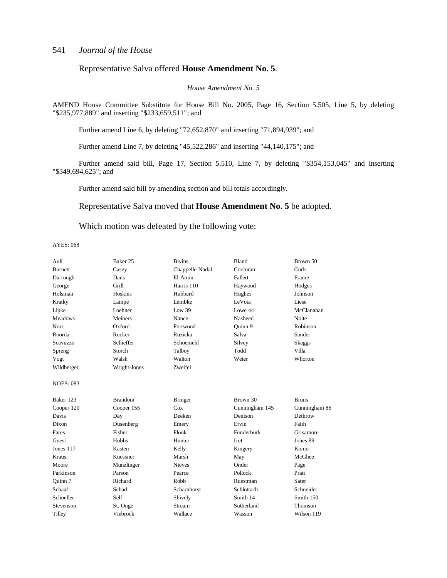### Representative Salva offered **House Amendment No. 5**.

*House Amendment No. 5*

AMEND House Committee Substitute for House Bill No. 2005, Page 16, Section 5.505, Line 5, by deleting "\$235,977,889" and inserting "\$233,659,511"; and

Further amend Line 6, by deleting "72,652,870" and inserting "71,894,939"; and

Further amend Line 7, by deleting "45,522,286" and inserting "44,140,175"; and

Further amend said bill, Page 17, Section 5.510, Line 7, by deleting "\$354,153,045" and inserting "\$349,694,625"; and

Further amend said bill by amending section and bill totals accordingly.

### Representative Salva moved that **House Amendment No. 5** be adopted.

### Which motion was defeated by the following vote:

| Aull             | Baker 25       | <b>Bivins</b>   | <b>Bland</b>   | Brown 50      |
|------------------|----------------|-----------------|----------------|---------------|
| <b>Burnett</b>   | Casey          | Chappelle-Nadal | Corcoran       | Curls         |
| Darrough         | Daus           | El-Amin         | Fallert        | Frame         |
| George           | Grill          | Harris 110      | Haywood        | Hodges        |
| Holsman          | Hoskins        | Hubbard         | Hughes         | Johnson       |
| Kratky           | Lampe          | Lembke          | LeVota         | Liese         |
| Lipke            | Loehner        | Low 39          | Lowe 44        | McClanahan    |
| <b>Meadows</b>   | Meiners        | Nance           | Nasheed        | <b>Nolte</b>  |
| Norr             | Oxford         | Portwood        | Quinn 9        | Robinson      |
| Roorda           | Rucker         | Ruzicka         | Salva          | Sander        |
| Scavuzzo         | Schieffer      | Schoemehl       | Silvey         | <b>Skaggs</b> |
| Spreng           | Storch         | Talboy          | Todd           | Villa         |
| Vogt             | Walsh          | Walton          | Weter          | Whorton       |
| Wildberger       | Wright-Jones   | Zweifel         |                |               |
| <b>NOES: 083</b> |                |                 |                |               |
| Baker 123        | <b>Brandom</b> | <b>Bringer</b>  | Brown 30       | <b>Bruns</b>  |
| Cooper 120       | Cooper 155     | Cox             | Cunningham 145 | Cunningham 86 |
| Davis            | Day            | Deeken          | Denison        | Dethrow       |
| Dixon            | Dusenberg      | Emery           | Ervin          | Faith         |
| Fares            | Fisher         | Flook           | Funderburk     | Grisamore     |
| Guest            | <b>Hobbs</b>   | Hunter          | Icet           | Jones 89      |
| Jones 117        | Kasten         | Kelly           | Kingery        | Komo          |
| Kraus            | Kuessner       | Marsh           | May            | McGhee        |
| Moore            | Munzlinger     | <b>Nieves</b>   | Onder          | Page          |
| Parkinson        | Parson         | Pearce          | Pollock        | Pratt         |
| Quinn 7          | Richard        | Robb            | Ruestman       | Sater         |
| Schaaf           | Schad          | Scharnhorst     | Schlottach     | Schneider     |
| Schoeller        | Self           | Shively         | Smith 14       | Smith 150     |
| Stevenson        | St. Onge       | <b>Stream</b>   | Sutherland     | Thomson       |
| Tilley           | Viebrock       | Wallace         | Wasson         | Wilson 119    |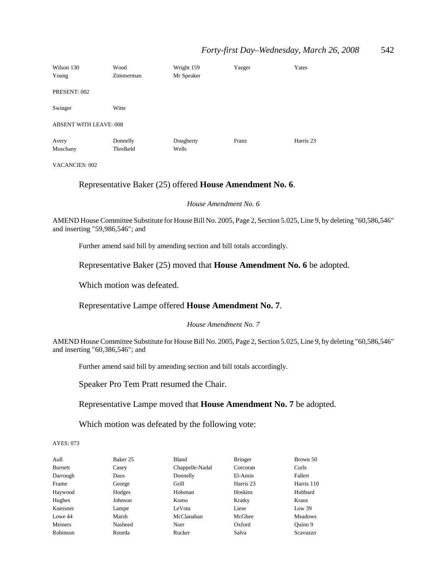## *Forty-first Day–Wednesday, March 26, 2008* 542

| Wilson 130<br>Young           | Wood<br>Zimmerman     | Wright 159<br>Mr Speaker | Yaeger | Yates     |
|-------------------------------|-----------------------|--------------------------|--------|-----------|
| PRESENT: 002                  |                       |                          |        |           |
| Swinger                       | Witte                 |                          |        |           |
| <b>ABSENT WITH LEAVE: 008</b> |                       |                          |        |           |
| Avery<br>Muschany             | Donnelly<br>Threlkeld | Dougherty<br>Wells       | Franz  | Harris 23 |

VACANCIES: 002

### Representative Baker (25) offered **House Amendment No. 6**.

*House Amendment No. 6*

AMEND House Committee Substitute for House Bill No. 2005, Page 2, Section 5.025, Line 9, by deleting "60,586,546" and inserting "59,986,546"; and

Further amend said bill by amending section and bill totals accordingly.

Representative Baker (25) moved that **House Amendment No. 6** be adopted.

Which motion was defeated.

## Representative Lampe offered **House Amendment No. 7**.

*House Amendment No. 7*

AMEND House Committee Substitute for House Bill No. 2005, Page 2, Section 5.025, Line 9, by deleting "60,586,546" and inserting "60,386,546"; and

Further amend said bill by amending section and bill totals accordingly.

Speaker Pro Tem Pratt resumed the Chair.

Representative Lampe moved that **House Amendment No. 7** be adopted.

Which motion was defeated by the following vote:

| Aull     | Baker 25 | Bland           | <b>Bringer</b> | Brown 50       |
|----------|----------|-----------------|----------------|----------------|
| Burnett  | Casey    | Chappelle-Nadal | Corcoran       | Curls          |
| Darrough | Daus     | Donnelly        | El-Amin        | Fallert        |
| Frame    | George   | Grill           | Harris 23      | Harris 110     |
| Haywood  | Hodges   | Holsman         | Hoskins        | Hubbard        |
| Hughes   | Johnson  | Komo            | Kratky         | Kraus          |
| Kuessner | Lampe    | LeVota          | Liese          | Low 39         |
| Lowe 44  | Marsh    | McClanahan      | McGhee         | <b>Meadows</b> |
| Meiners  | Nasheed  | Norr            | Oxford         | Ouinn 9        |
| Robinson | Roorda   | Rucker          | Salva          | Scavuzzo       |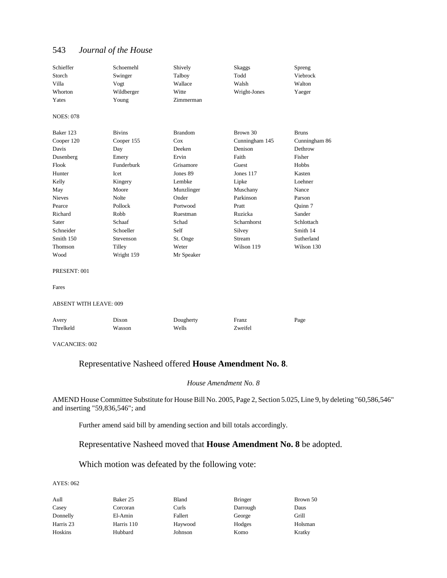| Schieffer                     | Schoemehl     | Shively        | <b>Skaggs</b>  | Spreng        |
|-------------------------------|---------------|----------------|----------------|---------------|
| Storch                        | Swinger       | Talboy         | Todd           | Viebrock      |
| Villa                         | Vogt          | Wallace        | Walsh          | Walton        |
| Whorton                       | Wildberger    | Witte          | Wright-Jones   | Yaeger        |
| Yates                         | Young         | Zimmerman      |                |               |
| <b>NOES: 078</b>              |               |                |                |               |
| Baker 123                     | <b>Bivins</b> | <b>Brandom</b> | Brown 30       | <b>Bruns</b>  |
| Cooper 120                    | Cooper 155    | Cox            | Cunningham 145 | Cunningham 86 |
| Davis                         | Day           | Deeken         | Denison        | Dethrow       |
| Dusenberg                     | Emery         | Ervin          | Faith          | Fisher        |
| Flook                         | Funderburk    | Grisamore      | Guest          | Hobbs         |
| Hunter                        | <b>Icet</b>   | Jones 89       | Jones 117      | Kasten        |
| Kelly                         | Kingery       | Lembke         | Lipke          | Loehner       |
| May                           | Moore         | Munzlinger     | Muschany       | Nance         |
| <b>Nieves</b>                 | Nolte         | Onder          | Parkinson      | Parson        |
| Pearce                        | Pollock       | Portwood       | Pratt          | Quinn 7       |
| Richard                       | <b>Robb</b>   | Ruestman       | Ruzicka        | Sander        |
| Sater                         | Schaaf        | Schad          | Scharnhorst    | Schlottach    |
| Schneider                     | Schoeller     | Self           | Silvey         | Smith 14      |
| Smith 150                     | Stevenson     | St. Onge       | Stream         | Sutherland    |
| Thomson                       | Tilley        | Weter          | Wilson 119     | Wilson 130    |
| Wood                          | Wright 159    | Mr Speaker     |                |               |
| PRESENT: 001                  |               |                |                |               |
| Fares                         |               |                |                |               |
| <b>ABSENT WITH LEAVE: 009</b> |               |                |                |               |
| Avery                         | Dixon         | Dougherty      | Franz          | Page          |
| Threlkeld                     | Wasson        | Wells          | Zweifel        |               |
| <b>VACANCIES: 002</b>         |               |                |                |               |

## Representative Nasheed offered **House Amendment No. 8**.

#### *House Amendment No. 8*

AMEND House Committee Substitute for House Bill No. 2005, Page 2, Section 5.025, Line 9, by deleting "60,586,546" and inserting "59,836,546"; and

Further amend said bill by amending section and bill totals accordingly.

## Representative Nasheed moved that **House Amendment No. 8** be adopted.

## Which motion was defeated by the following vote:

| Aull      | Baker 25   | Bland   | <b>Bringer</b> | Brown 50 |
|-----------|------------|---------|----------------|----------|
| Casey     | Corcoran   | Curls   | Darrough       | Daus     |
| Donnelly  | El-Amin    | Fallert | George         | Grill    |
| Harris 23 | Harris 110 | Haywood | Hodges         | Holsman  |
| Hoskins   | Hubbard    | Johnson | Komo           | Kratky   |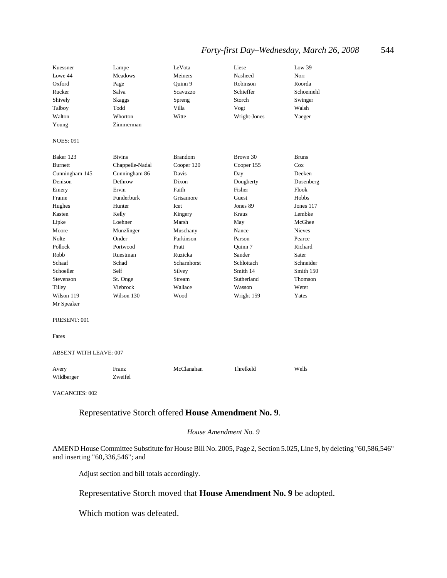## *Forty-first Day–Wednesday, March 26, 2008* 544

| Kuessner                      | Lampe           | LeVota         | Liese        | Low 39        |
|-------------------------------|-----------------|----------------|--------------|---------------|
| Lowe 44                       | <b>Meadows</b>  | Meiners        | Nasheed      | Norr          |
| Oxford                        | Page            | Quinn 9        | Robinson     | Roorda        |
| Rucker                        | Salva           | Scavuzzo       | Schieffer    | Schoemehl     |
| Shively                       | <b>Skaggs</b>   | Spreng         | Storch       | Swinger       |
| Talboy                        | Todd            | Villa          | Vogt         | Walsh         |
| Walton                        | Whorton         | Witte          | Wright-Jones | Yaeger        |
| Young                         | Zimmerman       |                |              |               |
| <b>NOES: 091</b>              |                 |                |              |               |
| Baker 123                     | <b>Bivins</b>   | <b>Brandom</b> | Brown 30     | <b>Bruns</b>  |
| <b>Burnett</b>                | Chappelle-Nadal | Cooper 120     | Cooper 155   | Cox           |
| Cunningham 145                | Cunningham 86   | Davis          | Day          | Deeken        |
| Denison                       | Dethrow         | Dixon          | Dougherty    | Dusenberg     |
| Emery                         | Ervin           | Faith          | Fisher       | Flook         |
| Frame                         | Funderburk      | Grisamore      | Guest        | Hobbs         |
| Hughes                        | Hunter          | Icet           | Jones 89     | Jones 117     |
| Kasten                        | Kelly           | Kingery        | Kraus        | Lembke        |
| Lipke                         | Loehner         | Marsh          | May          | McGhee        |
| Moore                         | Munzlinger      | Muschany       | Nance        | <b>Nieves</b> |
| Nolte                         | Onder           | Parkinson      | Parson       | Pearce        |
| Pollock                       | Portwood        | Pratt          | Quinn 7      | Richard       |
| Robb                          | Ruestman        | Ruzicka        | Sander       | Sater         |
| Schaaf                        | Schad           | Scharnhorst    | Schlottach   | Schneider     |
| Schoeller                     | Self            | Silvey         | Smith 14     | Smith 150     |
| Stevenson                     | St. Onge        | <b>Stream</b>  | Sutherland   | Thomson       |
| Tilley                        | Viebrock        | Wallace        | Wasson       | Weter         |
| Wilson 119                    | Wilson 130      | Wood           | Wright 159   | Yates         |
| Mr Speaker                    |                 |                |              |               |
| PRESENT: 001                  |                 |                |              |               |
| Fares                         |                 |                |              |               |
| <b>ABSENT WITH LEAVE: 007</b> |                 |                |              |               |
| Avery                         | Franz           | McClanahan     | Threlkeld    | Wells         |
| Wildberger                    | Zweifel         |                |              |               |

VACANCIES: 002

## Representative Storch offered **House Amendment No. 9**.

#### *House Amendment No. 9*

AMEND House Committee Substitute for House Bill No. 2005, Page 2, Section 5.025, Line 9, by deleting "60,586,546" and inserting "60,336,546"; and

Adjust section and bill totals accordingly.

## Representative Storch moved that **House Amendment No. 9** be adopted.

Which motion was defeated.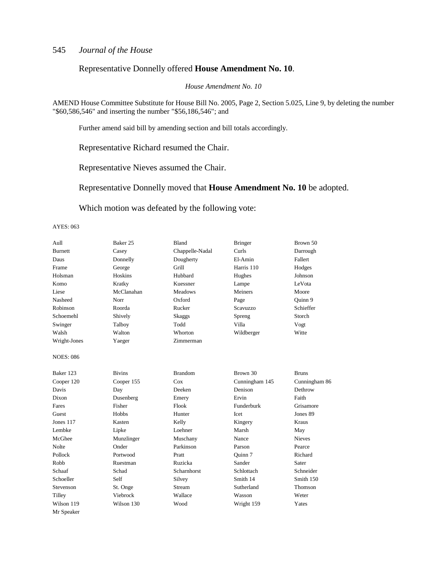### Representative Donnelly offered **House Amendment No. 10**.

*House Amendment No. 10*

AMEND House Committee Substitute for House Bill No. 2005, Page 2, Section 5.025, Line 9, by deleting the number "\$60,586,546" and inserting the number "\$56,186,546"; and

Further amend said bill by amending section and bill totals accordingly.

Representative Richard resumed the Chair.

Representative Nieves assumed the Chair.

Representative Donnelly moved that **House Amendment No. 10** be adopted.

Which motion was defeated by the following vote:

| Aull             | Baker 25      | Bland           | <b>Bringer</b> | Brown 50      |
|------------------|---------------|-----------------|----------------|---------------|
| <b>Burnett</b>   | Casey         | Chappelle-Nadal | Curls          | Darrough      |
| Daus             | Donnelly      | Dougherty       | El-Amin        | Fallert       |
| Frame            | George        | Grill           | Harris 110     | Hodges        |
| Holsman          | Hoskins       | Hubbard         | Hughes         | Johnson       |
| Komo             | Kratky        | Kuessner        | Lampe          | LeVota        |
| Liese            | McClanahan    | Meadows         | Meiners        | Moore         |
| Nasheed          | Norr          | Oxford          | Page           | Quinn 9       |
| Robinson         | Roorda        | Rucker          | Scavuzzo       | Schieffer     |
| Schoemehl        | Shively       | Skaggs          | Spreng         | Storch        |
| Swinger          | Talboy        | Todd            | Villa          | Vogt          |
| Walsh            | Walton        | Whorton         | Wildberger     | Witte         |
| Wright-Jones     | Yaeger        | Zimmerman       |                |               |
| <b>NOES: 086</b> |               |                 |                |               |
| Baker 123        | <b>Bivins</b> | <b>Brandom</b>  | Brown 30       | <b>Bruns</b>  |
| Cooper 120       | Cooper 155    | Cox             | Cunningham 145 | Cunningham 86 |
| Davis            | Day           | Deeken          | Denison        | Dethrow       |
| Dixon            | Dusenberg     | Emery           | Ervin          | Faith         |
| Fares            | Fisher        | Flook           | Funderburk     | Grisamore     |
| Guest            | Hobbs         | Hunter          | Icet           | Jones 89      |
| <b>Jones 117</b> | Kasten        | Kelly           | Kingery        | Kraus         |
| Lembke           | Lipke         | Loehner         | Marsh          | May           |
| McGhee           | Munzlinger    | Muschany        | Nance          | <b>Nieves</b> |
| Nolte            | Onder         | Parkinson       | Parson         | Pearce        |
| Pollock          | Portwood      | Pratt           | Ouinn 7        | Richard       |
| Robb             | Ruestman      | Ruzicka         | Sander         | Sater         |
| Schaaf           | Schad         | Scharnhorst     | Schlottach     | Schneider     |
| Schoeller        | Self          | Silvey          | Smith 14       | Smith 150     |
| Stevenson        | St. Onge      | Stream          | Sutherland     | Thomson       |
| Tilley           | Viebrock      | Wallace         | Wasson         | Weter         |
| Wilson 119       | Wilson 130    | Wood            | Wright 159     | Yates         |
| Mr Speaker       |               |                 |                |               |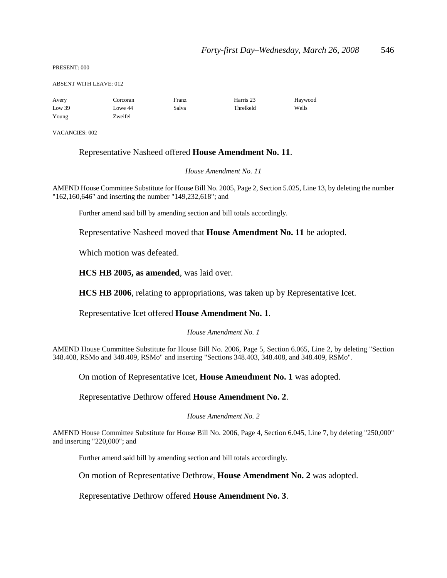PRESENT: 000

#### ABSENT WITH LEAVE: 012

| Avery  | Corcoran | Franz | Harris 23 | Haywood |
|--------|----------|-------|-----------|---------|
| Low 39 | Lowe 44  | Salva | Threlkeld | Wells   |
| Young  | Zweifel  |       |           |         |

VACANCIES: 002

### Representative Nasheed offered **House Amendment No. 11**.

*House Amendment No. 11*

AMEND House Committee Substitute for House Bill No. 2005, Page 2, Section 5.025, Line 13, by deleting the number "162,160,646" and inserting the number "149,232,618"; and

Further amend said bill by amending section and bill totals accordingly.

Representative Nasheed moved that **House Amendment No. 11** be adopted.

Which motion was defeated.

**HCS HB 2005, as amended**, was laid over.

**HCS HB 2006**, relating to appropriations, was taken up by Representative Icet.

Representative Icet offered **House Amendment No. 1**.

*House Amendment No. 1*

AMEND House Committee Substitute for House Bill No. 2006, Page 5, Section 6.065, Line 2, by deleting "Section 348.408, RSMo and 348.409, RSMo" and inserting "Sections 348.403, 348.408, and 348.409, RSMo".

On motion of Representative Icet, **House Amendment No. 1** was adopted.

Representative Dethrow offered **House Amendment No. 2**.

#### *House Amendment No. 2*

AMEND House Committee Substitute for House Bill No. 2006, Page 4, Section 6.045, Line 7, by deleting "250,000" and inserting "220,000"; and

Further amend said bill by amending section and bill totals accordingly.

On motion of Representative Dethrow, **House Amendment No. 2** was adopted.

Representative Dethrow offered **House Amendment No. 3**.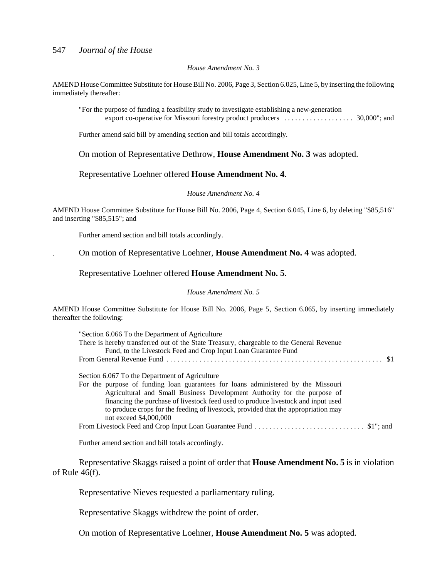#### *House Amendment No. 3*

AMEND House Committee Substitute for House Bill No. 2006, Page 3, Section 6.025, Line 5, by inserting the following immediately thereafter:

"For the purpose of funding a feasibility study to investigate establishing a new-generation export co-operative for Missouri forestry product producers . . . . . . . . . . . . . . . . . . 30,000"; and

Further amend said bill by amending section and bill totals accordingly.

On motion of Representative Dethrow, **House Amendment No. 3** was adopted.

### Representative Loehner offered **House Amendment No. 4**.

#### *House Amendment No. 4*

AMEND House Committee Substitute for House Bill No. 2006, Page 4, Section 6.045, Line 6, by deleting "\$85,516" and inserting "\$85,515"; and

Further amend section and bill totals accordingly.

. On motion of Representative Loehner, **House Amendment No. 4** was adopted.

### Representative Loehner offered **House Amendment No. 5**.

#### *House Amendment No. 5*

AMEND House Committee Substitute for House Bill No. 2006, Page 5, Section 6.065, by inserting immediately thereafter the following:

| "Section 6.066 To the Department of Agriculture<br>There is hereby transferred out of the State Treasury, chargeable to the General Revenue<br>Fund, to the Livestock Feed and Crop Input Loan Guarantee Fund                                                                                                                                                                                                        |
|----------------------------------------------------------------------------------------------------------------------------------------------------------------------------------------------------------------------------------------------------------------------------------------------------------------------------------------------------------------------------------------------------------------------|
| Section 6.067 To the Department of Agriculture<br>For the purpose of funding loan guarantees for loans administered by the Missouri<br>Agricultural and Small Business Development Authority for the purpose of<br>financing the purchase of livestock feed used to produce livestock and input used<br>to produce crops for the feeding of livestock, provided that the appropriation may<br>not exceed \$4,000,000 |
|                                                                                                                                                                                                                                                                                                                                                                                                                      |

Further amend section and bill totals accordingly.

Representative Skaggs raised a point of order that **House Amendment No. 5** is in violation of Rule 46(f).

Representative Nieves requested a parliamentary ruling.

Representative Skaggs withdrew the point of order.

On motion of Representative Loehner, **House Amendment No. 5** was adopted.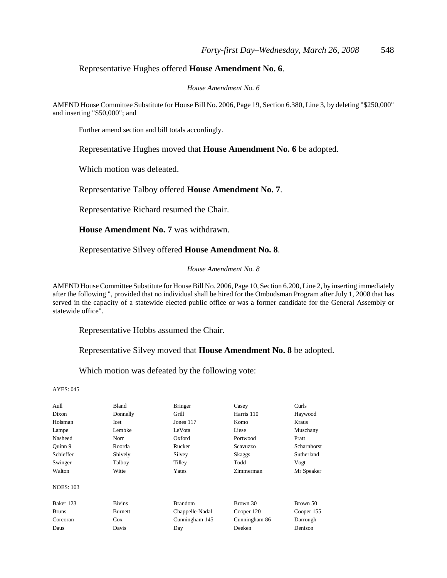### Representative Hughes offered **House Amendment No. 6**.

#### *House Amendment No. 6*

AMEND House Committee Substitute for House Bill No. 2006, Page 19, Section 6.380, Line 3, by deleting "\$250,000" and inserting "\$50,000"; and

Further amend section and bill totals accordingly.

Representative Hughes moved that **House Amendment No. 6** be adopted.

Which motion was defeated.

Representative Talboy offered **House Amendment No. 7**.

Representative Richard resumed the Chair.

**House Amendment No. 7** was withdrawn.

Representative Silvey offered **House Amendment No. 8**.

#### *House Amendment No. 8*

AMEND House Committee Substitute for House Bill No. 2006, Page 10, Section 6.200, Line 2, by inserting immediately after the following ", provided that no individual shall be hired for the Ombudsman Program after July 1, 2008 that has served in the capacity of a statewide elected public office or was a former candidate for the General Assembly or statewide office".

Representative Hobbs assumed the Chair.

Representative Silvey moved that **House Amendment No. 8** be adopted.

Which motion was defeated by the following vote:

| Aull             | Bland         | <b>Bringer</b>  | Casey         | Curls        |
|------------------|---------------|-----------------|---------------|--------------|
| Dixon            | Donnelly      | Grill           | Harris 110    | Haywood      |
| Holsman          | Icet          | Jones $117$     | Komo          | <b>Kraus</b> |
| Lampe            | Lembke        | LeVota          | Liese         | Muschany     |
| Nasheed          | Norr          | Oxford          | Portwood      | Pratt        |
| Ouinn 9          | Roorda        | Rucker          | Scavuzzo      | Scharnhorst  |
| Schieffer        | Shively       | Silvey          | Skaggs        | Sutherland   |
| Swinger          | Talboy        | Tilley          | Todd          | Vogt         |
| Walton           | Witte         | Yates           | Zimmerman     | Mr Speaker   |
| <b>NOES: 103</b> |               |                 |               |              |
| Baker 123        | <b>Bivins</b> | <b>Brandom</b>  | Brown 30      | Brown 50     |
| <b>Bruns</b>     | Burnett       | Chappelle-Nadal | Cooper 120    | Cooper 155   |
| Corcoran         | Cox           | Cunningham 145  | Cunningham 86 | Darrough     |
| Daus             | Davis         | Day             | Deeken        | Denison      |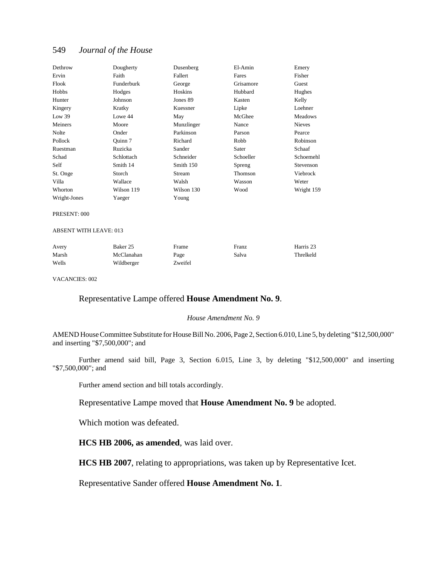| Dethrow                       | Dougherty  | Dusenberg  | El-Amin   | Emery          |
|-------------------------------|------------|------------|-----------|----------------|
| Ervin                         | Faith      | Fallert    | Fares     | Fisher         |
| Flook                         | Funderburk | George     | Grisamore | Guest          |
| Hobbs                         | Hodges     | Hoskins    | Hubbard   | Hughes         |
| Hunter                        | Johnson    | Jones 89   | Kasten    | Kelly          |
| Kingery                       | Kratky     | Kuessner   | Lipke     | Loehner        |
| Low 39                        | Lowe 44    | May        | McGhee    | <b>Meadows</b> |
| Meiners                       | Moore      | Munzlinger | Nance     | <b>Nieves</b>  |
| Nolte                         | Onder      | Parkinson  | Parson    | Pearce         |
| Pollock                       | Ouinn 7    | Richard    | Robb      | Robinson       |
| Ruestman                      | Ruzicka    | Sander     | Sater     | Schaaf         |
| Schad                         | Schlottach | Schneider  | Schoeller | Schoemehl      |
| Self                          | Smith 14   | Smith 150  | Spreng    | Stevenson      |
| St. Onge                      | Storch     | Stream     | Thomson   | Viebrock       |
| Villa                         | Wallace    | Walsh      | Wasson    | Weter          |
| Whorton                       | Wilson 119 | Wilson 130 | Wood      | Wright 159     |
| Wright-Jones                  | Yaeger     | Young      |           |                |
| PRESENT: 000                  |            |            |           |                |
| <b>ABSENT WITH LEAVE: 013</b> |            |            |           |                |
| Avery                         | Baker 25   | Frame      | Franz     | Harris 23      |
| Marsh                         | McClanahan | Page       | Salva     | Threlkeld      |
| Wells                         | Wildberger | Zweifel    |           |                |

VACANCIES: 002

## Representative Lampe offered **House Amendment No. 9**.

#### *House Amendment No. 9*

AMEND House Committee Substitute for House Bill No. 2006, Page 2, Section 6.010, Line 5, by deleting "\$12,500,000" and inserting "\$7,500,000"; and

Further amend said bill, Page 3, Section 6.015, Line 3, by deleting "\$12,500,000" and inserting "\$7,500,000"; and

Further amend section and bill totals accordingly.

Representative Lampe moved that **House Amendment No. 9** be adopted.

Which motion was defeated.

**HCS HB 2006, as amended**, was laid over.

**HCS HB 2007**, relating to appropriations, was taken up by Representative Icet.

Representative Sander offered **House Amendment No. 1**.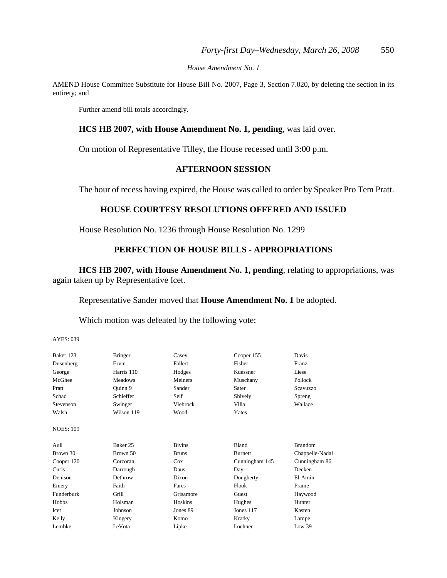*House Amendment No. 1*

AMEND House Committee Substitute for House Bill No. 2007, Page 3, Section 7.020, by deleting the section in its entirety; and

Further amend bill totals accordingly.

## **HCS HB 2007, with House Amendment No. 1, pending**, was laid over.

On motion of Representative Tilley, the House recessed until 3:00 p.m.

## **AFTERNOON SESSION**

The hour of recess having expired, the House was called to order by Speaker Pro Tem Pratt.

## **HOUSE COURTESY RESOLUTIONS OFFERED AND ISSUED**

House Resolution No. 1236 through House Resolution No. 1299

## **PERFECTION OF HOUSE BILLS - APPROPRIATIONS**

**HCS HB 2007, with House Amendment No. 1, pending**, relating to appropriations, was again taken up by Representative Icet.

Representative Sander moved that **House Amendment No. 1** be adopted.

Which motion was defeated by the following vote:

| Baker 123        | <b>Bringer</b> | Casey          | Cooper 155     | Davis           |
|------------------|----------------|----------------|----------------|-----------------|
| Dusenberg        | Ervin          | Fallert        | Fisher         | Franz           |
| George           | Harris 110     | Hodges         | Kuessner       | Liese           |
| McGhee           | Meadows        | <b>Meiners</b> | Muschany       | Pollock         |
| Pratt            | Ouinn 9        | Sander         | Sater          | Scavuzzo        |
| Schad            | Schieffer      | Self           | Shively        | Spreng          |
| Stevenson        | Swinger        | Viebrock       | Villa          | Wallace         |
| Walsh            | Wilson 119     | Wood           | Yates          |                 |
| <b>NOES: 109</b> |                |                |                |                 |
| Aull             | Baker 25       | <b>Bivins</b>  | <b>Bland</b>   | <b>Brandom</b>  |
| Brown 30         | Brown 50       | <b>Bruns</b>   | <b>Burnett</b> | Chappelle-Nadal |
| Cooper 120       | Corcoran       | Cox            | Cunningham 145 | Cunningham 86   |
| Curls            | Darrough       | Daus           | Day            | Deeken          |
| Denison          | Dethrow        | Dixon          | Dougherty      | El-Amin         |
| Emery            | Faith          | Fares          | Flook          | Frame           |
| Funderburk       | Grill          | Grisamore      | Guest          | Haywood         |
| Hobbs            | Holsman        | Hoskins        | Hughes         | Hunter          |
| Icet             | Johnson        | Jones 89       | Jones 117      | Kasten          |
| Kelly            | Kingery        | Komo           | Kratky         | Lampe           |
| Lembke           | LeVota         | Lipke          | Loehner        | Low 39          |
|                  |                |                |                |                 |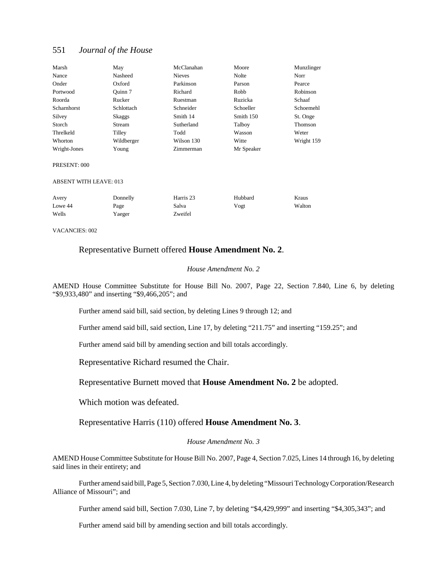| Marsh                         | May        | McClanahan    | Moore      | Munzlinger |
|-------------------------------|------------|---------------|------------|------------|
| Nance                         | Nasheed    | <b>Nieves</b> | Nolte      | Norr       |
| Onder                         | Oxford     | Parkinson     | Parson     | Pearce     |
| Portwood                      | Ouinn 7    | Richard       | Robb       | Robinson   |
| Roorda                        | Rucker     | Ruestman      | Ruzicka    | Schaaf     |
| Scharnhorst                   | Schlottach | Schneider     | Schoeller  | Schoemehl  |
| Silvey                        | Skaggs     | Smith 14      | Smith 150  | St. Onge   |
| Storch                        | Stream     | Sutherland    | Talboy     | Thomson    |
| Threlkeld                     | Tilley     | Todd          | Wasson     | Weter      |
| Whorton                       | Wildberger | Wilson 130    | Witte      | Wright 159 |
| Wright-Jones                  | Young      | Zimmerman     | Mr Speaker |            |
| PRESENT: 000                  |            |               |            |            |
| <b>ABSENT WITH LEAVE: 013</b> |            |               |            |            |
| Avery                         | Donnelly   | Harris 23     | Hubbard    | Kraus      |
| Lowe 44                       | Page       | Salva         | Vogt       | Walton     |
| Wells                         | Yaeger     | Zweifel       |            |            |
|                               |            |               |            |            |

VACANCIES: 002

### Representative Burnett offered **House Amendment No. 2**.

#### *House Amendment No. 2*

AMEND House Committee Substitute for House Bill No. 2007, Page 22, Section 7.840, Line 6, by deleting "\$9,933,480" and inserting "\$9,466,205"; and

Further amend said bill, said section, by deleting Lines 9 through 12; and

Further amend said bill, said section, Line 17, by deleting "211.75" and inserting "159.25"; and

Further amend said bill by amending section and bill totals accordingly.

Representative Richard resumed the Chair.

Representative Burnett moved that **House Amendment No. 2** be adopted.

Which motion was defeated.

Representative Harris (110) offered **House Amendment No. 3**.

#### *House Amendment No. 3*

AMEND House Committee Substitute for House Bill No. 2007, Page 4, Section 7.025, Lines 14 through 16, by deleting said lines in their entirety; and

Further amend said bill, Page 5, Section 7.030, Line 4, by deleting "Missouri Technology Corporation/Research Alliance of Missouri"; and

Further amend said bill, Section 7.030, Line 7, by deleting "\$4,429,999" and inserting "\$4,305,343"; and

Further amend said bill by amending section and bill totals accordingly.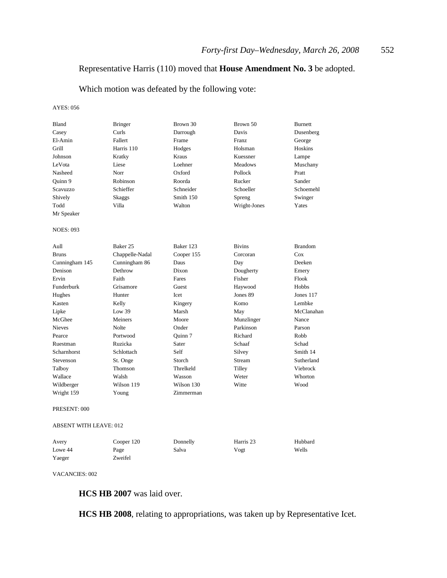## Representative Harris (110) moved that **House Amendment No. 3** be adopted.

Which motion was defeated by the following vote:

AYES: 056

| Bland                  | Bringer         | Brown 30   | Brown 50      | Burnett        |
|------------------------|-----------------|------------|---------------|----------------|
| Casey                  | Curls           | Darrough   | Davis         | Dusenberg      |
| El-Amin                | Fallert         | Frame      | <b>Franz</b>  | George         |
| Grill                  | Harris 110      | Hodges     | Holsman       | Hoskins        |
| Johnson                | Kratky          | Kraus      | Kuessner      | Lampe          |
| LeVota                 | Liese           | Loehner    | Meadows       | Muschany       |
| Nasheed                | Norr            | Oxford     | Pollock       | Pratt          |
| Ouinn 9                | Robinson        | Roorda     | Rucker        | Sander         |
| Scavuzzo               | Schieffer       | Schneider  | Schoeller     | Schoemehl      |
| Shively                | Skaggs          | Smith 150  | Spreng        | Swinger        |
| Todd                   | Villa           | Walton     | Wright-Jones  | Yates          |
| Mr Speaker             |                 |            |               |                |
| <b>NOES: 093</b>       |                 |            |               |                |
| Aull                   | Baker 25        | Baker 123  | <b>Bivins</b> | <b>Brandom</b> |
| <b>Bruns</b>           | Chappelle-Nadal | Cooper 155 | Corcoran      | Cox            |
| Cunningham 145         | Cunningham 86   | Daus       | Day           | Deeken         |
| Denison                | Dethrow         | Dixon      | Dougherty     | Emery          |
| Ervin                  | Faith           | Fares      | Fisher        | Flook          |
| Funderburk             | Grisamore       | Guest      | Haywood       | <b>Hobbs</b>   |
| Hughes                 | Hunter          | Icet       | Jones 89      | Jones 117      |
| Kasten                 | Kelly           | Kingery    | Komo          | Lembke         |
| Lipke                  | Low 39          | Marsh      | May           | McClanahan     |
| McGhee                 | Meiners         | Moore      | Munzlinger    | Nance          |
| <b>Nieves</b>          | Nolte           | Onder      | Parkinson     | Parson         |
| Pearce                 | Portwood        | Ouinn 7    | Richard       | Robb           |
| Ruestman               | Ruzicka         | Sater      | Schaaf        | Schad          |
| Scharnhorst            | Schlottach      | Self       | Silvey        | Smith 14       |
| Stevenson              | St. Onge        | Storch     | Stream        | Sutherland     |
| Talboy                 | Thomson         | Threlkeld  | Tilley        | Viebrock       |
| Wallace                | Walsh           | Wasson     | Weter         | Whorton        |
| Wildberger             | Wilson 119      | Wilson 130 | Witte         | Wood           |
| Wright 159             | Young           | Zimmerman  |               |                |
| PRESENT: 000           |                 |            |               |                |
| ABSENT WITH LEAVE: 012 |                 |            |               |                |

| Avery   | Cooper 120 | Donnelly | Harris 23 | Hubbard |
|---------|------------|----------|-----------|---------|
| Lowe 44 | Page       | Salva    | Vogt      | Wells   |
| Yaeger  | Zweifel    |          |           |         |

VACANCIES: 002

**HCS HB 2007** was laid over.

**HCS HB 2008**, relating to appropriations, was taken up by Representative Icet.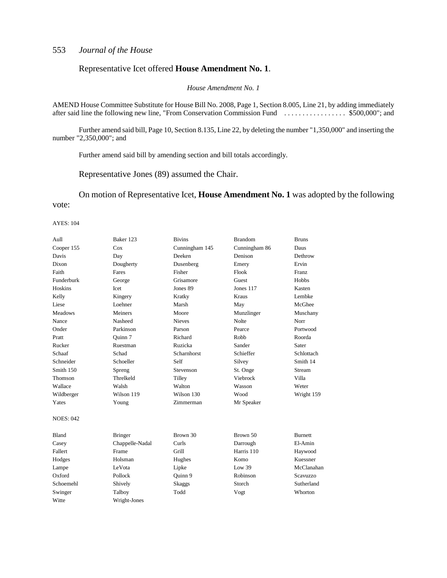### Representative Icet offered **House Amendment No. 1**.

*House Amendment No. 1*

AMEND House Committee Substitute for House Bill No. 2008, Page 1, Section 8.005, Line 21, by adding immediately after said line the following new line, "From Conservation Commission Fund . . . . . . . . . . . . . . . . . \$500,000"; and

Further amend said bill, Page 10, Section 8.135, Line 22, by deleting the number "1,350,000" and inserting the number "2,350,000"; and

Further amend said bill by amending section and bill totals accordingly.

Representative Jones (89) assumed the Chair.

On motion of Representative Icet, **House Amendment No. 1** was adopted by the following vote:

| Aull             | Baker 123       | <b>Bivins</b>    | <b>Brandom</b> | <b>Bruns</b> |
|------------------|-----------------|------------------|----------------|--------------|
| Cooper 155       | Cox             | Cunningham 145   | Cunningham 86  | Daus         |
| Davis            | Day             | Deeken           | Denison        | Dethrow      |
| Dixon            | Dougherty       | Dusenberg        | Emery          | Ervin        |
| Faith            | Fares           | Fisher           | Flook          | <b>Franz</b> |
| Funderburk       | George          | Grisamore        | Guest          | <b>Hobbs</b> |
| <b>Hoskins</b>   | Icet            | Jones 89         | Jones 117      | Kasten       |
| Kelly            | Kingery         | Kratky           | <b>Kraus</b>   | Lembke       |
| Liese            | Loehner         | Marsh            | May            | McGhee       |
| <b>Meadows</b>   | Meiners         | Moore            | Munzlinger     | Muschany     |
| Nance            | Nasheed         | <b>Nieves</b>    | Nolte          | Norr         |
| Onder            | Parkinson       | Parson           | Pearce         | Portwood     |
| Pratt            | Ouinn 7         | Richard          | Robb           | Roorda       |
| Rucker           | Ruestman        | Ruzicka          | Sander         | Sater        |
| Schaaf           | Schad           | Scharnhorst      | Schieffer      | Schlottach   |
| Schneider        | Schoeller       | Self             | Silvey         | Smith 14     |
| Smith 150        | Spreng          | <b>Stevenson</b> | St. Onge       | Stream       |
| Thomson          | Threlkeld       | Tilley           | Viebrock       | Villa        |
| Wallace          | Walsh           | Walton           | Wasson         | Weter        |
| Wildberger       | Wilson 119      | Wilson 130       | Wood           | Wright 159   |
| Yates            | Young           | Zimmerman        | Mr Speaker     |              |
| <b>NOES: 042</b> |                 |                  |                |              |
| Bland            | <b>Bringer</b>  | Brown 30         | Brown 50       | Burnett      |
| Casey            | Chappelle-Nadal | Curls            | Darrough       | El-Amin      |
| Fallert          | Frame           | Grill            | Harris 110     | Haywood      |
| Hodges           | Holsman         | Hughes           | Komo           | Kuessner     |
| Lampe            | LeVota          | Lipke            | Low 39         | McClanahan   |
| Oxford           | Pollock         | Quinn 9          | Robinson       | Scavuzzo     |
| Schoemehl        | Shively         | Skaggs           | Storch         | Sutherland   |
| Swinger          | Talboy          | Todd             | Vogt           | Whorton      |
| Witte            | Wright-Jones    |                  |                |              |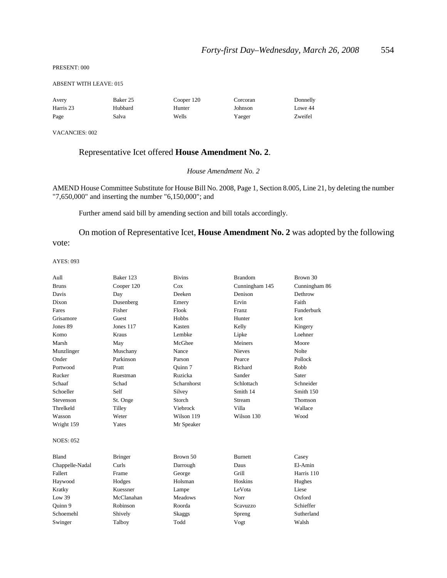#### PRESENT: 000

#### ABSENT WITH LEAVE: 015

| Avery     | Baker 25 | Cooper 120 | Corcoran | Donnelly |
|-----------|----------|------------|----------|----------|
| Harris 23 | Hubbard  | Hunter     | Johnson  | Lowe 44  |
| Page      | Salva    | Wells      | Yaeger   | Zweifel  |

VACANCIES: 002

## Representative Icet offered **House Amendment No. 2**.

#### *House Amendment No. 2*

AMEND House Committee Substitute for House Bill No. 2008, Page 1, Section 8.005, Line 21, by deleting the number "7,650,000" and inserting the number "6,150,000"; and

Further amend said bill by amending section and bill totals accordingly.

On motion of Representative Icet, **House Amendment No. 2** was adopted by the following vote:

| Aull             | Baker 123      | <b>Bivins</b>      | <b>Brandom</b> | Brown 30      |
|------------------|----------------|--------------------|----------------|---------------|
| <b>Bruns</b>     | Cooper 120     | Cox                | Cunningham 145 | Cunningham 86 |
| Davis            | Day            | Deeken             | Denison        | Dethrow       |
| Dixon            | Dusenberg      | Emery              | Ervin          | Faith         |
| Fares            | Fisher         | Flook              | Franz          | Funderburk    |
| Grisamore        | Guest          | Hobbs              | Hunter         | Icet          |
| Jones 89         | Jones 117      | Kasten             | Kelly          | Kingery       |
| Komo             | Kraus          | Lembke             | Lipke          | Loehner       |
| Marsh            | May            | McGhee             | Meiners        | Moore         |
| Munzlinger       | Muschany       | Nance              | <b>Nieves</b>  | Nolte         |
| Onder            | Parkinson      | Parson             | Pearce         | Pollock       |
| Portwood         | Pratt          | Ouinn 7            | Richard        | Robb          |
| Rucker           | Ruestman       | Ruzicka            | Sander         | Sater         |
| Schaaf           | Schad          | <b>Scharnhorst</b> | Schlottach     | Schneider     |
| Schoeller        | Self           | Silvey             | Smith 14       | Smith 150     |
| <b>Stevenson</b> | St. Onge       | Storch             | Stream         | Thomson       |
| Threlkeld        | Tilley         | Viebrock           | Villa          | Wallace       |
| Wasson           | Weter          | Wilson 119         | Wilson 130     | Wood          |
| Wright 159       | Yates          | Mr Speaker         |                |               |
| <b>NOES: 052</b> |                |                    |                |               |
| <b>Bland</b>     | <b>Bringer</b> | Brown 50           | <b>Burnett</b> | Casey         |
| Chappelle-Nadal  | Curls          | Darrough           | Daus           | El-Amin       |
| Fallert          | Frame          | George             | Grill          | Harris 110    |
| Haywood          | Hodges         | Holsman            | Hoskins        | Hughes        |
| Kratky           | Kuessner       | Lampe              | LeVota         | Liese         |
| Low 39           | McClanahan     | <b>Meadows</b>     | Norr           | Oxford        |
| Quinn 9          | Robinson       | Roorda             | Scavuzzo       | Schieffer     |
| Schoemehl        | Shively        | Skaggs             | Spreng         | Sutherland    |
| Swinger          | Talboy         | Todd               | Vogt           | Walsh         |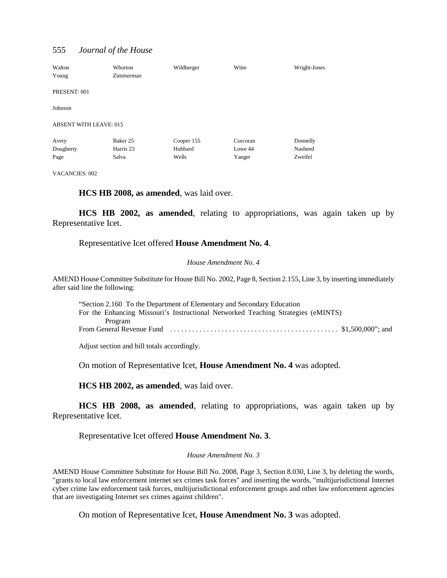| Walton<br>Young               | Whorton<br>Zimmerman | Wildberger | Witte    | Wright-Jones |
|-------------------------------|----------------------|------------|----------|--------------|
| PRESENT: 001                  |                      |            |          |              |
| Johnson                       |                      |            |          |              |
| <b>ABSENT WITH LEAVE: 015</b> |                      |            |          |              |
| Avery                         | Baker 25             | Cooper 155 | Corcoran | Donnelly     |
| Dougherty                     | Harris 23            | Hubbard    | Lowe 44  | Nasheed      |
| Page                          | Salva                | Wells      | Yaeger   | Zweifel      |

VACANCIES: 002

**HCS HB 2008, as amended**, was laid over.

**HCS HB 2002, as amended**, relating to appropriations, was again taken up by Representative Icet.

#### Representative Icet offered **House Amendment No. 4**.

#### *House Amendment No. 4*

AMEND House Committee Substitute for House Bill No. 2002, Page 8, Section 2.155, Line 3, by inserting immediately after said line the following:

| "Section 2.160 To the Department of Elementary and Secondary Education                                          |  |
|-----------------------------------------------------------------------------------------------------------------|--|
| For the Enhancing Missouri's Instructional Networked Teaching Strategies (eMINTS)                               |  |
| Program                                                                                                         |  |
| From General Revenue Fund $\dots\dots\dots\dots\dots\dots\dots\dots\dots\dots\dots\dots\dots$ \$1.500,000"; and |  |

Adjust section and bill totals accordingly.

On motion of Representative Icet, **House Amendment No. 4** was adopted.

**HCS HB 2002, as amended**, was laid over.

**HCS HB 2008, as amended**, relating to appropriations, was again taken up by Representative Icet.

Representative Icet offered **House Amendment No. 3**.

*House Amendment No. 3*

AMEND House Committee Substitute for House Bill No. 2008, Page 3, Section 8.030, Line 3, by deleting the words, "grants to local law enforcement internet sex crimes task forces" and inserting the words, "multijurisdictional Internet cyber crime law enforcement task forces, multijurisdictional enforcement groups and other law enforcement agencies that are investigating Internet sex crimes against children".

On motion of Representative Icet, **House Amendment No. 3** was adopted.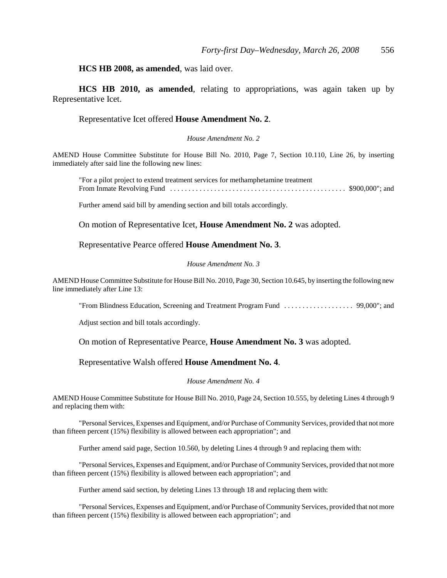## **HCS HB 2008, as amended**, was laid over.

**HCS HB 2010, as amended**, relating to appropriations, was again taken up by Representative Icet.

#### Representative Icet offered **House Amendment No. 2**.

#### *House Amendment No. 2*

AMEND House Committee Substitute for House Bill No. 2010, Page 7, Section 10.110, Line 26, by inserting immediately after said line the following new lines:

"For a pilot project to extend treatment services for methamphetamine treatment From Inmate Revolving Fund . . . . . . . . . . . . . . . . . . . . . . . . . . . . . . . . . . . . . . . . . . . . . . . . \$900,000"; and

Further amend said bill by amending section and bill totals accordingly.

On motion of Representative Icet, **House Amendment No. 2** was adopted.

Representative Pearce offered **House Amendment No. 3**.

#### *House Amendment No. 3*

AMEND House Committee Substitute for House Bill No. 2010, Page 30, Section 10.645, by inserting the following new line immediately after Line 13:

"From Blindness Education, Screening and Treatment Program Fund . . . . . . . . . . . . . . . . . . . 99,000"; and

Adjust section and bill totals accordingly.

On motion of Representative Pearce, **House Amendment No. 3** was adopted.

#### Representative Walsh offered **House Amendment No. 4**.

#### *House Amendment No. 4*

AMEND House Committee Substitute for House Bill No. 2010, Page 24, Section 10.555, by deleting Lines 4 through 9 and replacing them with:

"Personal Services, Expenses and Equipment, and/or Purchase of Community Services, provided that not more than fifteen percent (15%) flexibility is allowed between each appropriation"; and

Further amend said page, Section 10.560, by deleting Lines 4 through 9 and replacing them with:

"Personal Services, Expenses and Equipment, and/or Purchase of Community Services, provided that not more than fifteen percent (15%) flexibility is allowed between each appropriation"; and

Further amend said section, by deleting Lines 13 through 18 and replacing them with:

"Personal Services, Expenses and Equipment, and/or Purchase of Community Services, provided that not more than fifteen percent (15%) flexibility is allowed between each appropriation"; and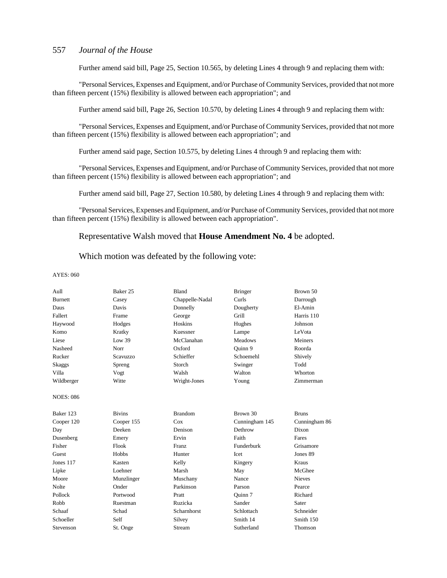Further amend said bill, Page 25, Section 10.565, by deleting Lines 4 through 9 and replacing them with:

"Personal Services, Expenses and Equipment, and/or Purchase of Community Services, provided that not more than fifteen percent (15%) flexibility is allowed between each appropriation"; and

Further amend said bill, Page 26, Section 10.570, by deleting Lines 4 through 9 and replacing them with:

"Personal Services, Expenses and Equipment, and/or Purchase of Community Services, provided that not more than fifteen percent (15%) flexibility is allowed between each appropriation"; and

Further amend said page, Section 10.575, by deleting Lines 4 through 9 and replacing them with:

"Personal Services, Expenses and Equipment, and/or Purchase of Community Services, provided that not more than fifteen percent (15%) flexibility is allowed between each appropriation"; and

Further amend said bill, Page 27, Section 10.580, by deleting Lines 4 through 9 and replacing them with:

"Personal Services, Expenses and Equipment, and/or Purchase of Community Services, provided that not more than fifteen percent (15%) flexibility is allowed between each appropriation".

#### Representative Walsh moved that **House Amendment No. 4** be adopted.

#### Which motion was defeated by the following vote:

| Aull             | Baker 25      | Bland           | <b>Bringer</b> | Brown 50      |
|------------------|---------------|-----------------|----------------|---------------|
| <b>Burnett</b>   | Casey         | Chappelle-Nadal | Curls          | Darrough      |
| Daus             | Davis         | Donnelly        | Dougherty      | El-Amin       |
| Fallert          | Frame         | George          | Grill          | Harris 110    |
| Haywood          | Hodges        | Hoskins         | Hughes         | Johnson       |
| Komo             | Kratky        | Kuessner        | Lampe          | LeVota        |
| Liese            | Low 39        | McClanahan      | <b>Meadows</b> | Meiners       |
| Nasheed          | Norr          | Oxford          | Ouinn 9        | Roorda        |
| Rucker           | Scavuzzo      | Schieffer       | Schoemehl      | Shively       |
| Skaggs           | Spreng        | Storch          | Swinger        | Todd          |
| Villa            | Vogt          | Walsh           | Walton         | Whorton       |
| Wildberger       | Witte         | Wright-Jones    | Young          | Zimmerman     |
| <b>NOES: 086</b> |               |                 |                |               |
| Baker 123        | <b>Bivins</b> | <b>Brandom</b>  | Brown 30       | <b>Bruns</b>  |
| Cooper 120       | Cooper 155    | Cox             | Cunningham 145 | Cunningham 86 |
| Day              | Deeken        | Denison         | Dethrow        | Dixon         |
| Dusenberg        | Emery         | Ervin           | Faith          | Fares         |
| Fisher           | Flook         | Franz           | Funderburk     | Grisamore     |
| Guest            | Hobbs         | Hunter          | Icet           | Jones 89      |
| Jones 117        | Kasten        | Kelly           | Kingery        | <b>Kraus</b>  |
| Lipke            | Loehner       | Marsh           | May            | McGhee        |
| Moore            | Munzlinger    | Muschany        | Nance          | <b>Nieves</b> |
| Nolte            | Onder         | Parkinson       | Parson         | Pearce        |
| Pollock          | Portwood      | Pratt           | Ouinn 7        | Richard       |
| Robb             | Ruestman      | Ruzicka         | Sander         | Sater         |
| Schaaf           | Schad         | Scharnhorst     | Schlottach     | Schneider     |
| Schoeller        | Self          | Silvey          | Smith 14       | Smith 150     |
| Stevenson        | St. Onge      | Stream          | Sutherland     | Thomson       |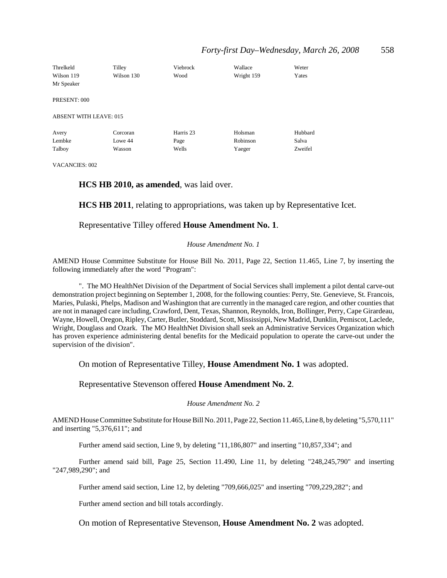| Threlkeld<br>Wilson 119<br>Mr Speaker | Tilley<br>Wilson 130 | Viebrock<br>Wood | Wallace<br>Wright 159 | Weter<br>Yates |
|---------------------------------------|----------------------|------------------|-----------------------|----------------|
| PRESENT: 000                          |                      |                  |                       |                |
| <b>ABSENT WITH LEAVE: 015</b>         |                      |                  |                       |                |
| Avery                                 | Corcoran             | Harris 23        | Holsman               | Hubbard        |
| Lembke                                | Lowe 44              | Page             | Robinson              | Salva          |
| Talboy                                | Wasson               | Wells            | Yaeger                | Zweifel        |

VACANCIES: 002

### **HCS HB 2010, as amended**, was laid over.

**HCS HB 2011**, relating to appropriations, was taken up by Representative Icet.

### Representative Tilley offered **House Amendment No. 1**.

#### *House Amendment No. 1*

AMEND House Committee Substitute for House Bill No. 2011, Page 22, Section 11.465, Line 7, by inserting the following immediately after the word "Program":

". The MO HealthNet Division of the Department of Social Services shall implement a pilot dental carve-out demonstration project beginning on September 1, 2008, for the following counties: Perry, Ste. Genevieve, St. Francois, Maries, Pulaski, Phelps, Madison and Washington that are currently in the managed care region, and other counties that are not in managed care including, Crawford, Dent, Texas, Shannon, Reynolds, Iron, Bollinger, Perry, Cape Girardeau, Wayne, Howell, Oregon, Ripley, Carter, Butler, Stoddard, Scott, Mississippi, New Madrid, Dunklin, Pemiscot, Laclede, Wright, Douglass and Ozark. The MO HealthNet Division shall seek an Administrative Services Organization which has proven experience administering dental benefits for the Medicaid population to operate the carve-out under the supervision of the division".

On motion of Representative Tilley, **House Amendment No. 1** was adopted.

#### Representative Stevenson offered **House Amendment No. 2**.

#### *House Amendment No. 2*

AMEND House Committee Substitute for House Bill No. 2011, Page 22, Section 11.465, Line 8, by deleting "5,570,111" and inserting "5,376,611"; and

Further amend said section, Line 9, by deleting "11,186,807" and inserting "10,857,334"; and

Further amend said bill, Page 25, Section 11.490, Line 11, by deleting "248,245,790" and inserting "247,989,290"; and

Further amend said section, Line 12, by deleting "709,666,025" and inserting "709,229,282"; and

Further amend section and bill totals accordingly.

On motion of Representative Stevenson, **House Amendment No. 2** was adopted.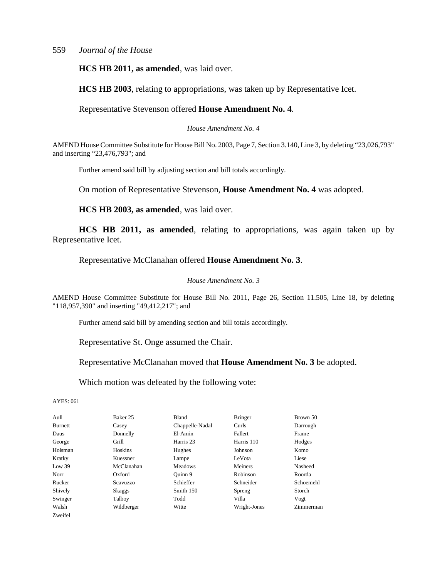**HCS HB 2011, as amended**, was laid over.

**HCS HB 2003**, relating to appropriations, was taken up by Representative Icet.

Representative Stevenson offered **House Amendment No. 4**.

*House Amendment No. 4*

AMEND House Committee Substitute for House Bill No. 2003, Page 7, Section 3.140, Line 3, by deleting "23,026,793" and inserting "23,476,793"; and

Further amend said bill by adjusting section and bill totals accordingly.

On motion of Representative Stevenson, **House Amendment No. 4** was adopted.

**HCS HB 2003, as amended**, was laid over.

**HCS HB 2011, as amended**, relating to appropriations, was again taken up by Representative Icet.

Representative McClanahan offered **House Amendment No. 3**.

#### *House Amendment No. 3*

AMEND House Committee Substitute for House Bill No. 2011, Page 26, Section 11.505, Line 18, by deleting "118,957,390" and inserting "49,412,217"; and

Further amend said bill by amending section and bill totals accordingly.

Representative St. Onge assumed the Chair.

Representative McClanahan moved that **House Amendment No. 3** be adopted.

Which motion was defeated by the following vote:

| Aull           | Baker 25        | <b>Bland</b>    | <b>Bringer</b> | Brown 50  |
|----------------|-----------------|-----------------|----------------|-----------|
| <b>Burnett</b> | Casey           | Chappelle-Nadal | Curls          | Darrough  |
| Daus           | Donnelly        | El-Amin         | Fallert        | Frame     |
| George         | Grill           | Harris 23       | Harris 110     | Hodges    |
| Holsman        | <b>Hoskins</b>  | Hughes          | Johnson        | Komo      |
| Kratky         | Kuessner        | Lampe           | LeVota         | Liese     |
| Low 39         | McClanahan      | <b>Meadows</b>  | Meiners        | Nasheed   |
| Norr           | Oxford          | Ouinn 9         | Robinson       | Roorda    |
| Rucker         | <b>Scavuzzo</b> | Schieffer       | Schneider      | Schoemehl |
| Shively        | Skaggs          | Smith 150       | Spreng         | Storch    |
| Swinger        | Talboy          | Todd            | Villa          | Vogt      |
| Walsh          | Wildberger      | Witte           | Wright-Jones   | Zimmerman |
| Zweifel        |                 |                 |                |           |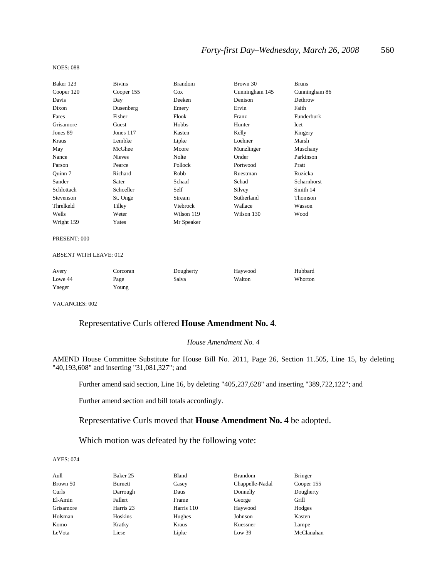#### NOES: 088

| Baker 123  | <b>Bivins</b> | <b>Brandom</b> | Brown 30       | <b>Bruns</b>  |
|------------|---------------|----------------|----------------|---------------|
| Cooper 120 | Cooper 155    | $\cos$         | Cunningham 145 | Cunningham 86 |
| Davis      | Day           | Deeken         | Denison        | Dethrow       |
| Dixon      | Dusenberg     | Emery          | Ervin          | Faith         |
| Fares      | Fisher        | Flook          | Franz          | Funderburk    |
| Grisamore  | Guest         | Hobbs          | Hunter         | Icet          |
| Jones 89   | Jones 117     | Kasten         | Kelly          | Kingery       |
| Kraus      | Lembke        | Lipke          | Loehner        | Marsh         |
| May        | McGhee        | Moore          | Munzlinger     | Muschany      |
| Nance      | <b>Nieves</b> | Nolte          | Onder          | Parkinson     |
| Parson     | Pearce        | Pollock        | Portwood       | Pratt         |
| Quinn 7    | Richard       | Robb           | Ruestman       | Ruzicka       |
| Sander     | Sater         | Schaaf         | Schad          | Scharnhorst   |
| Schlottach | Schoeller     | Self           | Silvey         | Smith 14      |
| Stevenson  | St. Onge      | Stream         | Sutherland     | Thomson       |
| Threlkeld  | Tilley        | Viebrock       | Wallace        | Wasson        |
| Wells      | Weter         | Wilson 119     | Wilson 130     | Wood          |
| Wright 159 | Yates         | Mr Speaker     |                |               |

#### PRESENT: 000

#### ABSENT WITH LEAVE: 012

| Avery   | Corcoran | Dougherty | Havwood | Hubbard |
|---------|----------|-----------|---------|---------|
| Lowe 44 | Page     | Salva     | Walton  | Whorton |
| Yaeger  | r oung   |           |         |         |

VACANCIES: 002

## Representative Curls offered **House Amendment No. 4**.

#### *House Amendment No. 4*

AMEND House Committee Substitute for House Bill No. 2011, Page 26, Section 11.505, Line 15, by deleting "40,193,608" and inserting "31,081,327"; and

Further amend said section, Line 16, by deleting "405,237,628" and inserting "389,722,122"; and

Further amend section and bill totals accordingly.

### Representative Curls moved that **House Amendment No. 4** be adopted.

### Which motion was defeated by the following vote:

| Aull      | Baker 25  | Bland      | <b>Brandom</b>  | <b>Bringer</b> |
|-----------|-----------|------------|-----------------|----------------|
| Brown 50  | Burnett   | Casey      | Chappelle-Nadal | Cooper 155     |
| Curls     | Darrough  | Daus       | Donnelly        | Dougherty      |
| El-Amin   | Fallert   | Frame      | George          | Grill          |
| Grisamore | Harris 23 | Harris 110 | Haywood         | Hodges         |
| Holsman   | Hoskins   | Hughes     | Johnson         | Kasten         |
| Komo      | Kratky    | Kraus      | Kuessner        | Lampe          |
| LeVota    | Liese     | Lipke      | Low 39          | McClanahan     |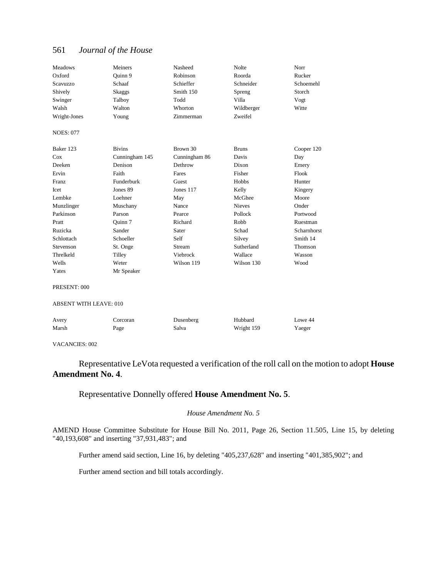| <b>Meadows</b>                | Meiners        | Nasheed       | <b>Nolte</b>  | Norr        |
|-------------------------------|----------------|---------------|---------------|-------------|
| Oxford                        | Ouinn 9        | Robinson      | Roorda        | Rucker      |
| Scavuzzo                      | Schaaf         | Schieffer     | Schneider     | Schoemehl   |
| Shively                       | Skaggs         | Smith 150     | Spreng        | Storch      |
| Swinger                       | Talboy         | Todd          | Villa         | Vogt        |
| Walsh                         | Walton         | Whorton       | Wildberger    | Witte       |
| Wright-Jones                  | Young          | Zimmerman     | Zweifel       |             |
| <b>NOES: 077</b>              |                |               |               |             |
| Baker 123                     | <b>Bivins</b>  | Brown 30      | <b>Bruns</b>  | Cooper 120  |
| Cox                           | Cunningham 145 | Cunningham 86 | Davis         | Day         |
| Deeken                        | Denison        | Dethrow       | Dixon         | Emery       |
| Ervin                         | Faith          | Fares         | Fisher        | Flook       |
| Franz                         | Funderburk     | Guest         | Hobbs         | Hunter      |
| <b>I</b> cet                  | Jones 89       | Jones 117     | Kelly         | Kingery     |
| Lembke                        | Loehner        | May           | McGhee        | Moore       |
| Munzlinger                    | Muschany       | Nance         | <b>Nieves</b> | Onder       |
| Parkinson                     | Parson         | Pearce        | Pollock       | Portwood    |
| Pratt                         | Ouinn 7        | Richard       | Robb          | Ruestman    |
| Ruzicka                       | Sander         | Sater         | Schad         | Scharnhorst |
| Schlottach                    | Schoeller      | Self          | Silvey        | Smith 14    |
| Stevenson                     | St. Onge       | Stream        | Sutherland    | Thomson     |
| Threlkeld                     | Tilley         | Viebrock      | Wallace       | Wasson      |
| Wells                         | Weter          | Wilson 119    | Wilson 130    | Wood        |
| Yates                         | Mr Speaker     |               |               |             |
| PRESENT: 000                  |                |               |               |             |
| <b>ABSENT WITH LEAVE: 010</b> |                |               |               |             |
| Avery                         | Corcoran       | Dusenberg     | Hubbard       | Lowe 44     |
| Marsh                         | Page           | Salva         | Wright 159    | Yaeger      |
|                               |                |               |               |             |

VACANCIES: 002

Representative LeVota requested a verification of the roll call on the motion to adopt **House Amendment No. 4**.

Representative Donnelly offered **House Amendment No. 5**.

### *House Amendment No. 5*

AMEND House Committee Substitute for House Bill No. 2011, Page 26, Section 11.505, Line 15, by deleting "40,193,608" and inserting "37,931,483"; and

Further amend said section, Line 16, by deleting "405,237,628" and inserting "401,385,902"; and

Further amend section and bill totals accordingly.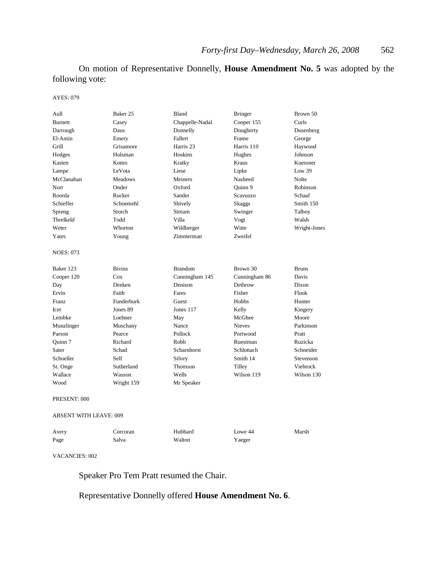On motion of Representative Donnelly, **House Amendment No. 5** was adopted by the following vote:

AYES: 079

| Aull                          | Baker 25       | Bland           | <b>Bringer</b> | Brown 50     |
|-------------------------------|----------------|-----------------|----------------|--------------|
| <b>Burnett</b>                | Casey          | Chappelle-Nadal | Cooper 155     | Curls        |
| Darrough                      | Daus           | Donnelly        | Dougherty      | Dusenberg    |
| El-Amin                       | Emery          | Fallert         | Frame          | George       |
| Grill                         | Grisamore      | Harris 23       | Harris 110     | Haywood      |
| Hodges                        | Holsman        | <b>Hoskins</b>  | Hughes         | Johnson      |
| Kasten                        | Komo           | Kratky          | Kraus          | Kuessner     |
| Lampe                         | LeVota         | Liese           | Lipke          | Low 39       |
| McClanahan                    | <b>Meadows</b> | Meiners         | Nasheed        | <b>Nolte</b> |
| Norr                          | Onder          | Oxford          | Ouinn 9        | Robinson     |
| Roorda                        | Rucker         | Sander          | Scavuzzo       | Schaaf       |
| Schieffer                     | Schoemehl      | Shively         | Skaggs         | Smith 150    |
| Spreng                        | Storch         | Stream          | Swinger        | Talboy       |
| Threlkeld                     | Todd           | Villa           | Vogt           | Walsh        |
| Weter                         | Whorton        | Wildberger      | Witte          | Wright-Jones |
| Yates                         | Young          | Zimmerman       | Zweifel        |              |
| <b>NOES: 073</b>              |                |                 |                |              |
| Baker 123                     | <b>Bivins</b>  | <b>Brandom</b>  | Brown 30       | <b>Bruns</b> |
| Cooper 120                    | Cox            | Cunningham 145  | Cunningham 86  | Davis        |
| Day                           | Deeken         | Denison         | Dethrow        | Dixon        |
| Ervin                         | Faith          | Fares           | Fisher         | Flook        |
| Franz                         | Funderburk     | Guest           | Hobbs          | Hunter       |
| <b>Icet</b>                   | Jones 89       | Jones 117       | Kelly          | Kingery      |
| Lembke                        | Loehner        | May             | McGhee         | Moore        |
| Munzlinger                    | Muschany       | Nance           | <b>Nieves</b>  | Parkinson    |
| Parson                        | Pearce         | Pollock         | Portwood       | Pratt        |
| Quinn 7                       | Richard        | Robb            | Ruestman       | Ruzicka      |
| Sater                         | Schad          | Scharnhorst     | Schlottach     | Schneider    |
| Schoeller                     | Self           | Silvey          | Smith 14       | Stevenson    |
| St. Onge                      | Sutherland     | Thomson         | Tilley         | Viebrock     |
| Wallace                       | Wasson         | Wells           | Wilson 119     | Wilson 130   |
| Wood                          | Wright 159     | Mr Speaker      |                |              |
| PRESENT: 000                  |                |                 |                |              |
| <b>ABSENT WITH LEAVE: 009</b> |                |                 |                |              |
| Avery                         | Corcoran       | Hubbard         | Lowe 44        | Marsh        |
| Page                          | Salva          | Walton          | Yaeger         |              |

#### VACANCIES: 002

Speaker Pro Tem Pratt resumed the Chair.

## Representative Donnelly offered **House Amendment No. 6**.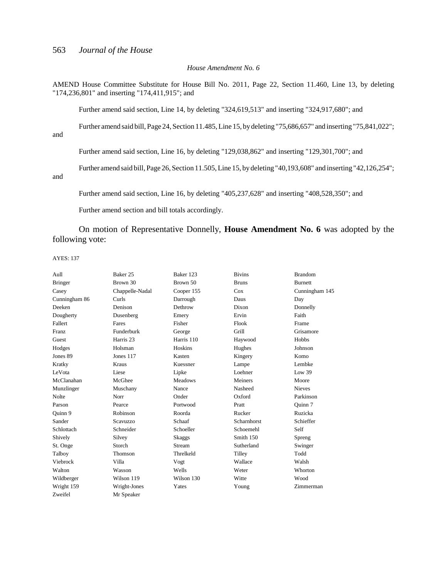#### *House Amendment No. 6*

AMEND House Committee Substitute for House Bill No. 2011, Page 22, Section 11.460, Line 13, by deleting "174,236,801" and inserting "174,411,915"; and

Further amend said section, Line 14, by deleting "324,619,513" and inserting "324,917,680"; and

Further amend said bill, Page 24, Section 11.485, Line 15, by deleting "75,686,657" and inserting "75,841,022";

and

Further amend said section, Line 16, by deleting "129,038,862" and inserting "129,301,700"; and

Further amend said bill, Page 26, Section 11.505, Line 15, by deleting "40,193,608" and inserting "42,126,254";

and

Further amend said section, Line 16, by deleting "405,237,628" and inserting "408,528,350"; and

Further amend section and bill totals accordingly.

On motion of Representative Donnelly, **House Amendment No. 6** was adopted by the following vote:

| Aull           | Baker 25             | Baker 123      | <b>Bivins</b> | <b>Brandom</b> |
|----------------|----------------------|----------------|---------------|----------------|
| <b>Bringer</b> | Brown 30             | Brown 50       | <b>Bruns</b>  | <b>Burnett</b> |
| Casey          | Chappelle-Nadal      | Cooper 155     | Cox           | Cunningham 145 |
| Cunningham 86  | Curls                | Darrough       | Daus          | Day            |
| Deeken         | Denison              | Dethrow        | Dixon         | Donnelly       |
| Dougherty      | Dusenberg            | Emery          | Ervin         | Faith          |
| Fallert        | Fares                | Fisher         | Flook         | Frame          |
| Franz          | Funderburk           | George         | Grill         | Grisamore      |
| Guest          | Harris <sub>23</sub> | Harris 110     | Haywood       | Hobbs          |
| Hodges         | Holsman              | Hoskins        | Hughes        | Johnson        |
| Jones 89       | Jones 117            | Kasten         | Kingery       | Komo           |
| Kratky         | Kraus                | Kuessner       | Lampe         | Lembke         |
| LeVota         | Liese                | Lipke          | Loehner       | Low 39         |
| McClanahan     | McGhee               | <b>Meadows</b> | Meiners       | Moore          |
| Munzlinger     | Muschany             | Nance          | Nasheed       | <b>Nieves</b>  |
| Nolte          | Norr                 | Onder          | Oxford        | Parkinson      |
| Parson         | Pearce               | Portwood       | Pratt         | Ouinn 7        |
| Ouinn 9        | Robinson             | Roorda         | Rucker        | Ruzicka        |
| Sander         | Scavuzzo             | Schaaf         | Scharnhorst   | Schieffer      |
| Schlottach     | Schneider            | Schoeller      | Schoemehl     | Self           |
| Shively        | Silvey               | <b>Skaggs</b>  | Smith 150     | Spreng         |
| St. Onge       | Storch               | Stream         | Sutherland    | Swinger        |
| Talboy         | Thomson              | Threlkeld      | Tilley        | Todd           |
| Viebrock       | Villa                | Vogt           | Wallace       | Walsh          |
| Walton         | Wasson               | Wells          | Weter         | Whorton        |
| Wildberger     | Wilson 119           | Wilson 130     | Witte         | Wood           |
| Wright 159     | Wright-Jones         | Yates          | Young         | Zimmerman      |
| Zweifel        | Mr Speaker           |                |               |                |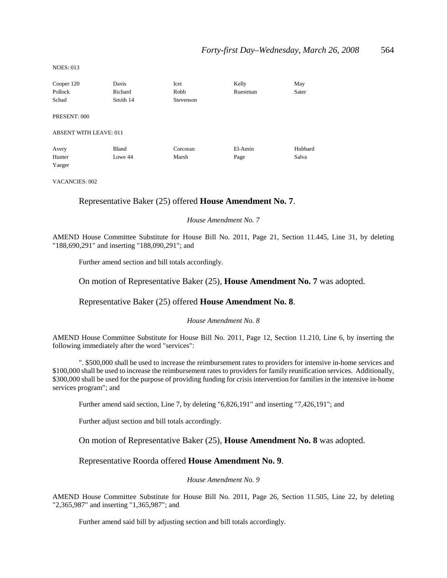NOES: 013

| Cooper 120                    | Davis    | Icet      | Kelly    | May     |
|-------------------------------|----------|-----------|----------|---------|
| Pollock                       | Richard  | Robb      | Ruestman | Sater   |
| Schad                         | Smith 14 | Stevenson |          |         |
| PRESENT: 000                  |          |           |          |         |
| <b>ABSENT WITH LEAVE: 011</b> |          |           |          |         |
| Avery                         | Bland    | Corcoran  | El-Amin  | Hubbard |
| Hunter                        | Lowe 44  | Marsh     | Page     | Salva   |
| Yaeger                        |          |           |          |         |

VACANCIES: 002

### Representative Baker (25) offered **House Amendment No. 7**.

#### *House Amendment No. 7*

AMEND House Committee Substitute for House Bill No. 2011, Page 21, Section 11.445, Line 31, by deleting "188,690,291" and inserting "188,090,291"; and

Further amend section and bill totals accordingly.

#### On motion of Representative Baker (25), **House Amendment No. 7** was adopted.

#### Representative Baker (25) offered **House Amendment No. 8**.

#### *House Amendment No. 8*

AMEND House Committee Substitute for House Bill No. 2011, Page 12, Section 11.210, Line 6, by inserting the following immediately after the word "services":

". \$500,000 shall be used to increase the reimbursement rates to providers for intensive in-home services and \$100,000 shall be used to increase the reimbursement rates to providers for family reunification services. Additionally, \$300,000 shall be used for the purpose of providing funding for crisis intervention for families in the intensive in-home services program"; and

Further amend said section, Line 7, by deleting "6,826,191" and inserting "7,426,191"; and

Further adjust section and bill totals accordingly.

On motion of Representative Baker (25), **House Amendment No. 8** was adopted.

#### Representative Roorda offered **House Amendment No. 9**.

#### *House Amendment No. 9*

AMEND House Committee Substitute for House Bill No. 2011, Page 26, Section 11.505, Line 22, by deleting "2,365,987" and inserting "1,365,987"; and

Further amend said bill by adjusting section and bill totals accordingly.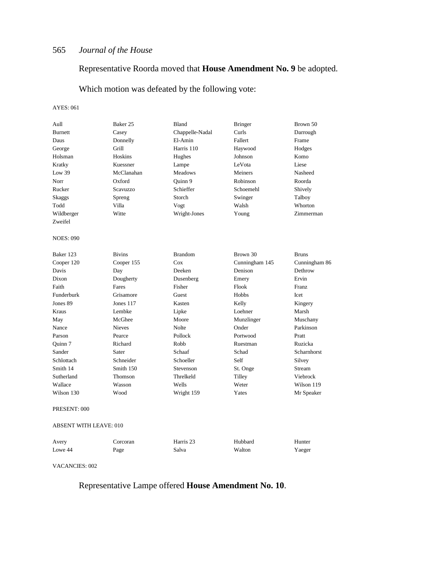## Representative Roorda moved that **House Amendment No. 9** be adopted.

Which motion was defeated by the following vote:

#### AYES: 061

| Aull                          | Baker 25      | Bland                | <b>Bringer</b> | Brown 50      |
|-------------------------------|---------------|----------------------|----------------|---------------|
| <b>Burnett</b>                | Casey         | Chappelle-Nadal      | Curls          | Darrough      |
| Daus                          | Donnelly      | El-Amin              | Fallert        | Frame         |
| George                        | Grill         | Harris 110           | Haywood        | Hodges        |
| Holsman                       | Hoskins       | Hughes               | Johnson        | Komo          |
| Kratky                        | Kuessner      | Lampe                | LeVota         | Liese         |
| Low $39$                      | McClanahan    | Meadows              | Meiners        | Nasheed       |
| Norr                          | Oxford        | Ouinn 9              | Robinson       | Roorda        |
| Rucker                        | Scavuzzo      | Schieffer            | Schoemehl      | Shively       |
| Skaggs                        | Spreng        | Storch               | Swinger        | Talboy        |
| Todd                          | Villa         | Vogt                 | Walsh          | Whorton       |
| Wildberger                    | Witte         | Wright-Jones         | Young          | Zimmerman     |
| Zweifel                       |               |                      |                |               |
| <b>NOES: 090</b>              |               |                      |                |               |
| Baker 123                     | <b>Bivins</b> | <b>Brandom</b>       | Brown 30       | <b>Bruns</b>  |
| Cooper 120                    | Cooper 155    | Cox                  | Cunningham 145 | Cunningham 86 |
| Davis                         | Day           | Deeken               | Denison        | Dethrow       |
| Dixon                         | Dougherty     | Dusenberg            | Emery          | Ervin         |
| Faith                         | Fares         | Fisher               | Flook          | Franz         |
| Funderburk                    | Grisamore     | Guest                | Hobbs          | Icet          |
| Jones 89                      | Jones $117$   | Kasten               | Kelly          | Kingery       |
| Kraus                         | Lembke        | Lipke                | Loehner        | Marsh         |
| May                           | McGhee        | Moore                | Munzlinger     | Muschany      |
| Nance                         | <b>Nieves</b> | Nolte                | Onder          | Parkinson     |
| Parson                        | Pearce        | Pollock              | Portwood       | Pratt         |
| Quinn 7                       | Richard       | Robb                 | Ruestman       | Ruzicka       |
| Sander                        | Sater         | Schaaf               | Schad          | Scharnhorst   |
| Schlottach                    | Schneider     | Schoeller            | Self           | Silvey        |
| Smith 14                      | Smith 150     | Stevenson            | St. Onge       | Stream        |
| Sutherland                    | Thomson       | Threlkeld            | Tilley         | Viebrock      |
| Wallace                       | Wasson        | Wells                | Weter          | Wilson 119    |
| Wilson 130                    | Wood          | Wright 159           | Yates          | Mr Speaker    |
| PRESENT: 000                  |               |                      |                |               |
| <b>ABSENT WITH LEAVE: 010</b> |               |                      |                |               |
| Avery                         | Corcoran      | Harris <sub>23</sub> | Hubbard        | Hunter        |
| Lowe 44                       | Page          | Salva                | Walton         | Yaeger        |
|                               |               |                      |                |               |

VACANCIES: 002

Representative Lampe offered **House Amendment No. 10**.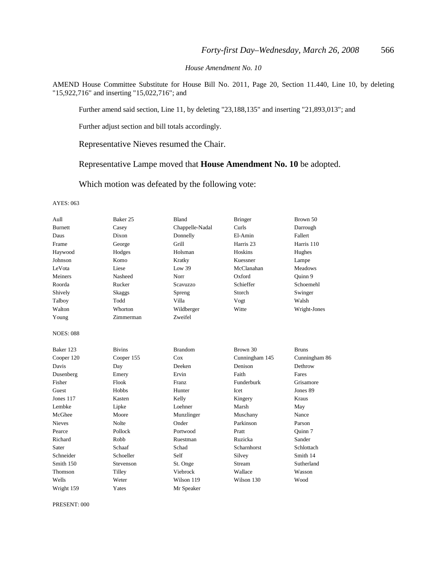*House Amendment No. 10*

AMEND House Committee Substitute for House Bill No. 2011, Page 20, Section 11.440, Line 10, by deleting "15,922,716" and inserting "15,022,716"; and

Further amend said section, Line 11, by deleting "23,188,135" and inserting "21,893,013"; and

Further adjust section and bill totals accordingly.

Representative Nieves resumed the Chair.

Representative Lampe moved that **House Amendment No. 10** be adopted.

Which motion was defeated by the following vote:

#### AYES: 063

| Aull             | Baker 25      | <b>Bland</b>    | <b>Bringer</b> | Brown 50       |
|------------------|---------------|-----------------|----------------|----------------|
| <b>Burnett</b>   | Casey         | Chappelle-Nadal | Curls          | Darrough       |
| Daus             | Dixon         | Donnelly        | El-Amin        | Fallert        |
| Frame            | George        | Grill           | Harris 23      | Harris 110     |
| Haywood          | Hodges        | Holsman         | Hoskins        | Hughes         |
| Johnson          | Komo          | Kratky          | Kuessner       | Lampe          |
| LeVota           | Liese         | Low 39          | McClanahan     | <b>Meadows</b> |
| Meiners          | Nasheed       | Norr            | Oxford         | Quinn 9        |
| Roorda           | Rucker        | Scavuzzo        | Schieffer      | Schoemehl      |
| Shively          | <b>Skaggs</b> | Spreng          | Storch         | Swinger        |
| Talboy           | Todd          | Villa           | Vogt           | Walsh          |
| Walton           | Whorton       | Wildberger      | Witte          | Wright-Jones   |
| Young            | Zimmerman     | Zweifel         |                |                |
| <b>NOES: 088</b> |               |                 |                |                |
| Baker 123        | <b>Bivins</b> | <b>Brandom</b>  | Brown 30       | <b>Bruns</b>   |
| Cooper 120       | Cooper 155    | $\cos$          | Cunningham 145 | Cunningham 86  |
| Davis            | Day           | Deeken          | Denison        | Dethrow        |
| Dusenberg        | Emery         | Ervin           | Faith          | Fares          |
| Fisher           | Flook         | <b>Franz</b>    | Funderburk     | Grisamore      |
| Guest            | Hobbs         | Hunter          | Icet           | Jones 89       |
| Jones 117        | Kasten        | Kelly           | Kingery        | Kraus          |
| Lembke           | Lipke         | Loehner         | Marsh          | May            |
| McGhee           | Moore         | Munzlinger      | Muschany       | Nance          |
| <b>Nieves</b>    | Nolte         | Onder           | Parkinson      | Parson         |
| Pearce           | Pollock       | Portwood        | Pratt          | Ouinn 7        |
| Richard          | Robb          | Ruestman        | Ruzicka        | Sander         |
| Sater            | Schaaf        | Schad           | Scharnhorst    | Schlottach     |
| Schneider        | Schoeller     | Self            | Silvey         | Smith 14       |
| Smith 150        | Stevenson     | St. Onge        | Stream         | Sutherland     |
| Thomson          | Tilley        | Viebrock        | Wallace        | Wasson         |
| Wells            | Weter         | Wilson 119      | Wilson 130     | Wood           |
| Wright 159       | Yates         | Mr Speaker      |                |                |

PRESENT: 000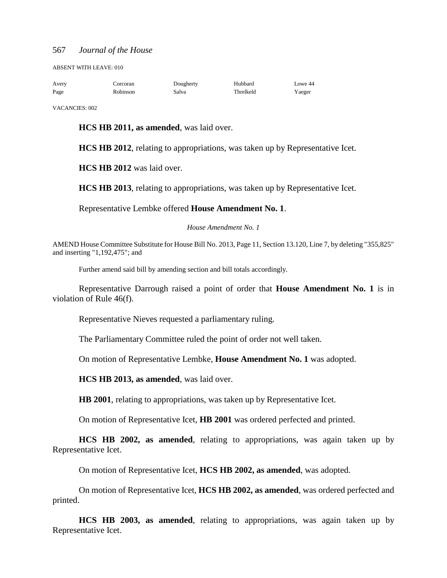ABSENT WITH LEAVE: 010

| Avery | Corcoran | Dougherty | Hubbard   | Lowe 44 |
|-------|----------|-----------|-----------|---------|
| Page  | Robinson | Salva     | Threlkeld | Yaeger  |

VACANCIES: 002

**HCS HB 2011, as amended**, was laid over.

**HCS HB 2012**, relating to appropriations, was taken up by Representative Icet.

**HCS HB 2012** was laid over.

**HCS HB 2013**, relating to appropriations, was taken up by Representative Icet.

Representative Lembke offered **House Amendment No. 1**.

*House Amendment No. 1*

AMEND House Committee Substitute for House Bill No. 2013, Page 11, Section 13.120, Line 7, by deleting "355,825" and inserting "1,192,475"; and

Further amend said bill by amending section and bill totals accordingly.

Representative Darrough raised a point of order that **House Amendment No. 1** is in violation of Rule 46(f).

Representative Nieves requested a parliamentary ruling.

The Parliamentary Committee ruled the point of order not well taken.

On motion of Representative Lembke, **House Amendment No. 1** was adopted.

**HCS HB 2013, as amended**, was laid over.

**HB 2001**, relating to appropriations, was taken up by Representative Icet.

On motion of Representative Icet, **HB 2001** was ordered perfected and printed.

**HCS HB 2002, as amended**, relating to appropriations, was again taken up by Representative Icet.

On motion of Representative Icet, **HCS HB 2002, as amended**, was adopted.

On motion of Representative Icet, **HCS HB 2002, as amended**, was ordered perfected and printed.

**HCS HB 2003, as amended**, relating to appropriations, was again taken up by Representative Icet.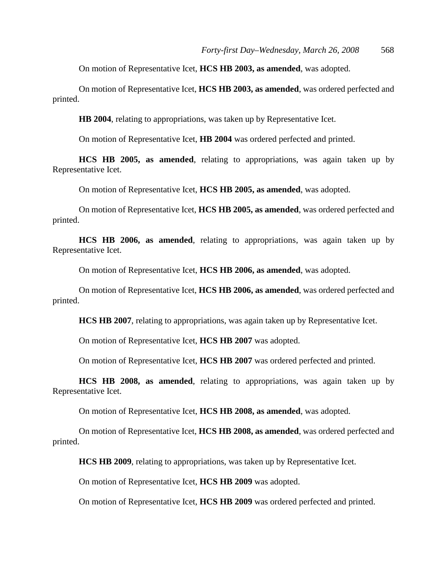On motion of Representative Icet, **HCS HB 2003, as amended**, was adopted.

On motion of Representative Icet, **HCS HB 2003, as amended**, was ordered perfected and printed.

**HB 2004**, relating to appropriations, was taken up by Representative Icet.

On motion of Representative Icet, **HB 2004** was ordered perfected and printed.

**HCS HB 2005, as amended**, relating to appropriations, was again taken up by Representative Icet.

On motion of Representative Icet, **HCS HB 2005, as amended**, was adopted.

On motion of Representative Icet, **HCS HB 2005, as amended**, was ordered perfected and printed.

**HCS HB 2006, as amended**, relating to appropriations, was again taken up by Representative Icet.

On motion of Representative Icet, **HCS HB 2006, as amended**, was adopted.

On motion of Representative Icet, **HCS HB 2006, as amended**, was ordered perfected and printed.

**HCS HB 2007**, relating to appropriations, was again taken up by Representative Icet.

On motion of Representative Icet, **HCS HB 2007** was adopted.

On motion of Representative Icet, **HCS HB 2007** was ordered perfected and printed.

**HCS HB 2008, as amended**, relating to appropriations, was again taken up by Representative Icet.

On motion of Representative Icet, **HCS HB 2008, as amended**, was adopted.

On motion of Representative Icet, **HCS HB 2008, as amended**, was ordered perfected and printed.

**HCS HB 2009**, relating to appropriations, was taken up by Representative Icet.

On motion of Representative Icet, **HCS HB 2009** was adopted.

On motion of Representative Icet, **HCS HB 2009** was ordered perfected and printed.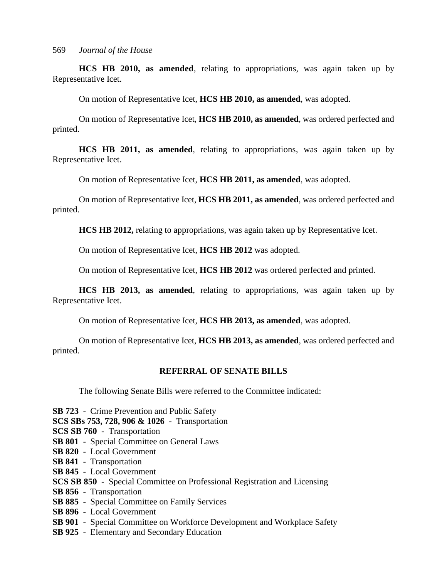**HCS HB 2010, as amended**, relating to appropriations, was again taken up by Representative Icet.

On motion of Representative Icet, **HCS HB 2010, as amended**, was adopted.

On motion of Representative Icet, **HCS HB 2010, as amended**, was ordered perfected and printed.

**HCS HB 2011, as amended**, relating to appropriations, was again taken up by Representative Icet.

On motion of Representative Icet, **HCS HB 2011, as amended**, was adopted.

On motion of Representative Icet, **HCS HB 2011, as amended**, was ordered perfected and printed.

**HCS HB 2012,** relating to appropriations, was again taken up by Representative Icet.

On motion of Representative Icet, **HCS HB 2012** was adopted.

On motion of Representative Icet, **HCS HB 2012** was ordered perfected and printed.

**HCS HB 2013, as amended**, relating to appropriations, was again taken up by Representative Icet.

On motion of Representative Icet, **HCS HB 2013, as amended**, was adopted.

On motion of Representative Icet, **HCS HB 2013, as amended**, was ordered perfected and printed.

## **REFERRAL OF SENATE BILLS**

The following Senate Bills were referred to the Committee indicated:

**SB 723** - Crime Prevention and Public Safety

**SCS SBs 753, 728, 906 & 1026** - Transportation

**SCS SB 760** - Transportation

- **SB 801** Special Committee on General Laws
- **SB 820** Local Government
- **SB 841** Transportation
- **SB 845** Local Government
- **SCS SB 850** Special Committee on Professional Registration and Licensing
- **SB 856** Transportation
- **SB 885** Special Committee on Family Services
- **SB 896** Local Government
- **SB 901** Special Committee on Workforce Development and Workplace Safety
- **SB 925** Elementary and Secondary Education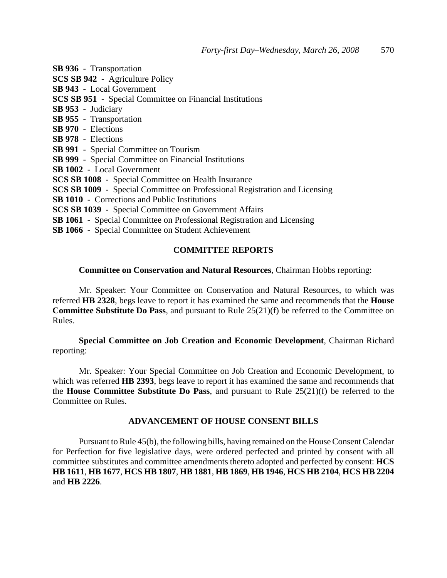**SB 936** - Transportation

- **SCS SB 942** Agriculture Policy
- **SB 943** Local Government
- **SCS SB 951** Special Committee on Financial Institutions
- **SB 953** Judiciary
- **SB 955** Transportation
- **SB 970** Elections
- **SB 978** Elections
- **SB 991** Special Committee on Tourism
- **SB 999** Special Committee on Financial Institutions
- **SB 1002** Local Government
- **SCS SB 1008** Special Committee on Health Insurance
- **SCS SB 1009** Special Committee on Professional Registration and Licensing
- **SB 1010** Corrections and Public Institutions
- **SCS SB 1039** Special Committee on Government Affairs
- **SB 1061** Special Committee on Professional Registration and Licensing
- **SB 1066** Special Committee on Student Achievement

## **COMMITTEE REPORTS**

### **Committee on Conservation and Natural Resources**, Chairman Hobbs reporting:

Mr. Speaker: Your Committee on Conservation and Natural Resources, to which was referred **HB 2328**, begs leave to report it has examined the same and recommends that the **House Committee Substitute Do Pass**, and pursuant to Rule 25(21)(f) be referred to the Committee on Rules.

**Special Committee on Job Creation and Economic Development**, Chairman Richard reporting:

Mr. Speaker: Your Special Committee on Job Creation and Economic Development, to which was referred **HB 2393**, begs leave to report it has examined the same and recommends that the **House Committee Substitute Do Pass**, and pursuant to Rule 25(21)(f) be referred to the Committee on Rules.

### **ADVANCEMENT OF HOUSE CONSENT BILLS**

Pursuant to Rule 45(b), the following bills, having remained on the House Consent Calendar for Perfection for five legislative days, were ordered perfected and printed by consent with all committee substitutes and committee amendments thereto adopted and perfected by consent: **HCS HB 1611**, **HB 1677**, **HCS HB 1807**, **HB 1881**, **HB 1869**, **HB 1946**, **HCS HB 2104**, **HCS HB 2204** and **HB 2226**.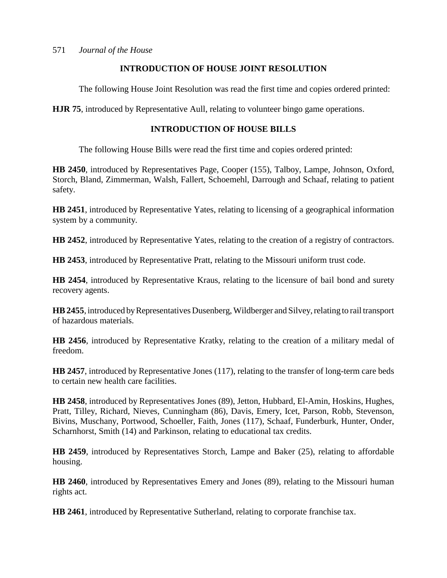## **INTRODUCTION OF HOUSE JOINT RESOLUTION**

The following House Joint Resolution was read the first time and copies ordered printed:

**HJR 75**, introduced by Representative Aull, relating to volunteer bingo game operations.

## **INTRODUCTION OF HOUSE BILLS**

The following House Bills were read the first time and copies ordered printed:

**HB 2450**, introduced by Representatives Page, Cooper (155), Talboy, Lampe, Johnson, Oxford, Storch, Bland, Zimmerman, Walsh, Fallert, Schoemehl, Darrough and Schaaf, relating to patient safety.

**HB 2451**, introduced by Representative Yates, relating to licensing of a geographical information system by a community.

**HB 2452**, introduced by Representative Yates, relating to the creation of a registry of contractors.

**HB 2453**, introduced by Representative Pratt, relating to the Missouri uniform trust code.

**HB 2454**, introduced by Representative Kraus, relating to the licensure of bail bond and surety recovery agents.

**HB 2455**, introduced by Representatives Dusenberg, Wildberger and Silvey, relating to rail transport of hazardous materials.

**HB 2456**, introduced by Representative Kratky, relating to the creation of a military medal of freedom.

**HB 2457**, introduced by Representative Jones (117), relating to the transfer of long-term care beds to certain new health care facilities.

**HB 2458**, introduced by Representatives Jones (89), Jetton, Hubbard, El-Amin, Hoskins, Hughes, Pratt, Tilley, Richard, Nieves, Cunningham (86), Davis, Emery, Icet, Parson, Robb, Stevenson, Bivins, Muschany, Portwood, Schoeller, Faith, Jones (117), Schaaf, Funderburk, Hunter, Onder, Scharnhorst, Smith (14) and Parkinson, relating to educational tax credits.

**HB 2459**, introduced by Representatives Storch, Lampe and Baker (25), relating to affordable housing.

**HB 2460**, introduced by Representatives Emery and Jones (89), relating to the Missouri human rights act.

**HB 2461**, introduced by Representative Sutherland, relating to corporate franchise tax.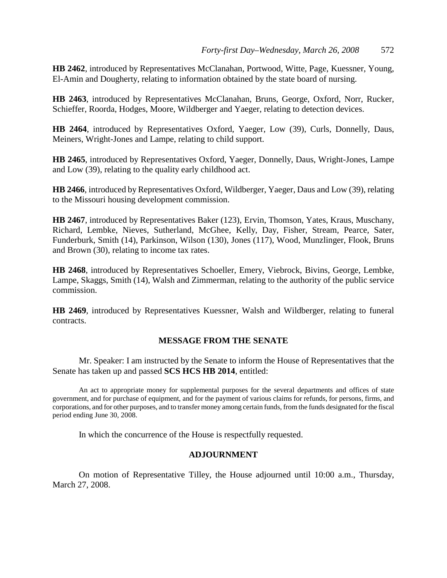**HB 2462**, introduced by Representatives McClanahan, Portwood, Witte, Page, Kuessner, Young, El-Amin and Dougherty, relating to information obtained by the state board of nursing.

**HB 2463**, introduced by Representatives McClanahan, Bruns, George, Oxford, Norr, Rucker, Schieffer, Roorda, Hodges, Moore, Wildberger and Yaeger, relating to detection devices.

**HB 2464**, introduced by Representatives Oxford, Yaeger, Low (39), Curls, Donnelly, Daus, Meiners, Wright-Jones and Lampe, relating to child support.

**HB 2465**, introduced by Representatives Oxford, Yaeger, Donnelly, Daus, Wright-Jones, Lampe and Low (39), relating to the quality early childhood act.

**HB 2466**, introduced by Representatives Oxford, Wildberger, Yaeger, Daus and Low (39), relating to the Missouri housing development commission.

**HB 2467**, introduced by Representatives Baker (123), Ervin, Thomson, Yates, Kraus, Muschany, Richard, Lembke, Nieves, Sutherland, McGhee, Kelly, Day, Fisher, Stream, Pearce, Sater, Funderburk, Smith (14), Parkinson, Wilson (130), Jones (117), Wood, Munzlinger, Flook, Bruns and Brown (30), relating to income tax rates.

**HB 2468**, introduced by Representatives Schoeller, Emery, Viebrock, Bivins, George, Lembke, Lampe, Skaggs, Smith (14), Walsh and Zimmerman, relating to the authority of the public service commission.

**HB 2469**, introduced by Representatives Kuessner, Walsh and Wildberger, relating to funeral contracts.

### **MESSAGE FROM THE SENATE**

Mr. Speaker: I am instructed by the Senate to inform the House of Representatives that the Senate has taken up and passed **SCS HCS HB 2014**, entitled:

An act to appropriate money for supplemental purposes for the several departments and offices of state government, and for purchase of equipment, and for the payment of various claims for refunds, for persons, firms, and corporations, and for other purposes, and to transfer money among certain funds, from the funds designated for the fiscal period ending June 30, 2008.

In which the concurrence of the House is respectfully requested.

### **ADJOURNMENT**

On motion of Representative Tilley, the House adjourned until 10:00 a.m., Thursday, March 27, 2008.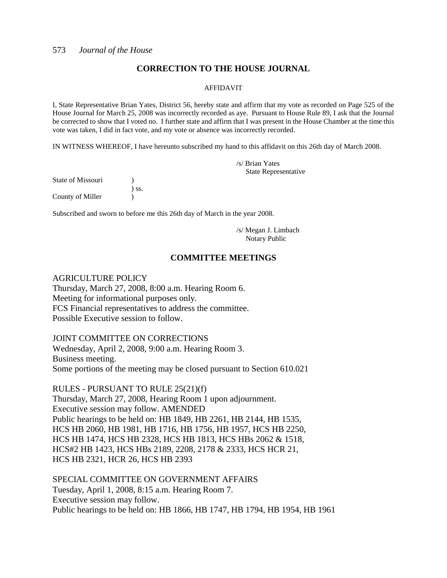## **CORRECTION TO THE HOUSE JOURNAL**

#### AFFIDAVIT

I, State Representative Brian Yates, District 56, hereby state and affirm that my vote as recorded on Page 525 of the House Journal for March 25, 2008 was incorrectly recorded as aye. Pursuant to House Rule 89, I ask that the Journal be corrected to show that I voted no. I further state and affirm that I was present in the House Chamber at the time this vote was taken, I did in fact vote, and my vote or absence was incorrectly recorded.

IN WITNESS WHEREOF, I have hereunto subscribed my hand to this affidavit on this 26th day of March 2008.

/s/ Brian Yates State Representative

State of Missouri (1) ) ss. County of Miller (1)

Subscribed and sworn to before me this 26th day of March in the year 2008.

/s/ Megan J. Limbach Notary Public

## **COMMITTEE MEETINGS**

### AGRICULTURE POLICY

Thursday, March 27, 2008, 8:00 a.m. Hearing Room 6. Meeting for informational purposes only. FCS Financial representatives to address the committee. Possible Executive session to follow.

JOINT COMMITTEE ON CORRECTIONS Wednesday, April 2, 2008, 9:00 a.m. Hearing Room 3. Business meeting.

Some portions of the meeting may be closed pursuant to Section 610.021

RULES - PURSUANT TO RULE 25(21)(f)

Thursday, March 27, 2008, Hearing Room 1 upon adjournment. Executive session may follow. AMENDED Public hearings to be held on: HB 1849, HB 2261, HB 2144, HB 1535, HCS HB 2060, HB 1981, HB 1716, HB 1756, HB 1957, HCS HB 2250, HCS HB 1474, HCS HB 2328, HCS HB 1813, HCS HBs 2062 & 1518, HCS#2 HB 1423, HCS HBs 2189, 2208, 2178 & 2333, HCS HCR 21, HCS HB 2321, HCR 26, HCS HB 2393

SPECIAL COMMITTEE ON GOVERNMENT AFFAIRS Tuesday, April 1, 2008, 8:15 a.m. Hearing Room 7. Executive session may follow. Public hearings to be held on: HB 1866, HB 1747, HB 1794, HB 1954, HB 1961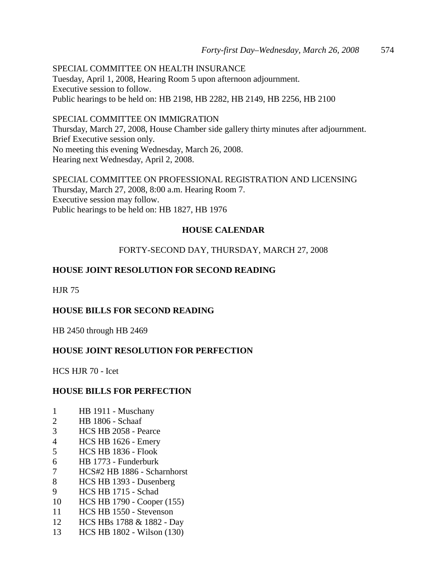SPECIAL COMMITTEE ON HEALTH INSURANCE Tuesday, April 1, 2008, Hearing Room 5 upon afternoon adjournment. Executive session to follow. Public hearings to be held on: HB 2198, HB 2282, HB 2149, HB 2256, HB 2100

SPECIAL COMMITTEE ON IMMIGRATION Thursday, March 27, 2008, House Chamber side gallery thirty minutes after adjournment. Brief Executive session only. No meeting this evening Wednesday, March 26, 2008. Hearing next Wednesday, April 2, 2008.

SPECIAL COMMITTEE ON PROFESSIONAL REGISTRATION AND LICENSING Thursday, March 27, 2008, 8:00 a.m. Hearing Room 7. Executive session may follow. Public hearings to be held on: HB 1827, HB 1976

## **HOUSE CALENDAR**

## FORTY-SECOND DAY, THURSDAY, MARCH 27, 2008

## **HOUSE JOINT RESOLUTION FOR SECOND READING**

HJR 75

## **HOUSE BILLS FOR SECOND READING**

HB 2450 through HB 2469

## **HOUSE JOINT RESOLUTION FOR PERFECTION**

HCS HJR 70 - Icet

## **HOUSE BILLS FOR PERFECTION**

- 1 HB 1911 Muschany
- 2 HB 1806 Schaaf
- 3 HCS HB 2058 Pearce
- 4 HCS HB 1626 Emery
- 5 HCS HB 1836 Flook
- 6 HB 1773 Funderburk
- 7 HCS#2 HB 1886 Scharnhorst
- 8 HCS HB 1393 Dusenberg
- 9 HCS HB 1715 Schad
- 10 HCS HB 1790 Cooper (155)
- 11 HCS HB 1550 Stevenson
- 12 HCS HBs 1788 & 1882 Day
- 13 HCS HB 1802 Wilson (130)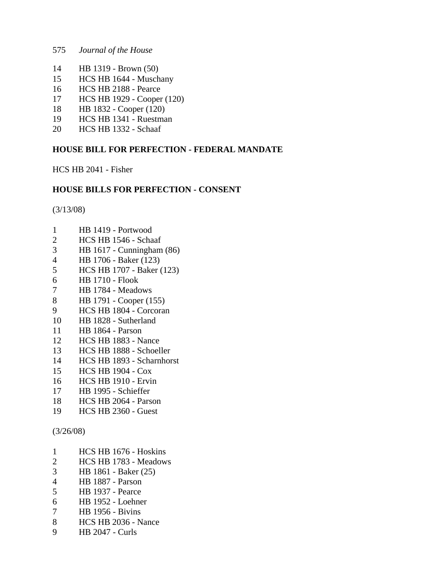- 575 *Journal of the House*
- 14 HB 1319 Brown (50)
- 15 HCS HB 1644 Muschany
- 16 HCS HB 2188 Pearce
- 17 HCS HB 1929 Cooper (120)
- 18 HB 1832 Cooper (120)
- 19 HCS HB 1341 Ruestman
- 20 HCS HB 1332 Schaaf

## **HOUSE BILL FOR PERFECTION - FEDERAL MANDATE**

HCS HB 2041 - Fisher

## **HOUSE BILLS FOR PERFECTION - CONSENT**

(3/13/08)

- 1 HB 1419 Portwood
- 2 HCS HB 1546 Schaaf
- 3 HB 1617 Cunningham (86)
- 4 HB 1706 Baker (123)
- 5 HCS HB 1707 Baker (123)
- 6 HB 1710 Flook
- 7 HB 1784 Meadows
- 8 HB 1791 Cooper (155)
- 9 HCS HB 1804 Corcoran
- 10 HB 1828 Sutherland
- 11 HB 1864 Parson
- 12 HCS HB 1883 Nance
- 13 HCS HB 1888 Schoeller
- 14 HCS HB 1893 Scharnhorst
- 15 HCS HB 1904 Cox
- 16 HCS HB 1910 Ervin
- 17 HB 1995 Schieffer
- 18 HCS HB 2064 Parson
- 19 HCS HB 2360 Guest

## (3/26/08)

- 1 HCS HB 1676 Hoskins
- 2 HCS HB 1783 Meadows
- 3 HB 1861 Baker (25)
- 4 HB 1887 Parson
- 5 HB 1937 Pearce
- 6 HB 1952 Loehner
- 7 HB 1956 Bivins
- 8 HCS HB 2036 Nance
- 9 HB 2047 Curls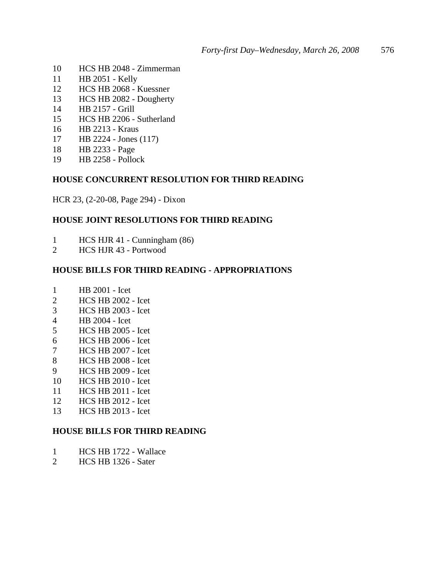- 10 HCS HB 2048 Zimmerman
- 11 HB 2051 Kelly
- 12 HCS HB 2068 Kuessner
- 13 HCS HB 2082 Dougherty
- 14 HB 2157 Grill
- 15 HCS HB 2206 Sutherland
- 16 HB 2213 Kraus
- 17 HB 2224 Jones (117)
- 18 HB 2233 Page
- 19 HB 2258 Pollock

### **HOUSE CONCURRENT RESOLUTION FOR THIRD READING**

HCR 23, (2-20-08, Page 294) - Dixon

### **HOUSE JOINT RESOLUTIONS FOR THIRD READING**

- 1 HCS HJR 41 Cunningham (86)
- 2 HCS HJR 43 Portwood

## **HOUSE BILLS FOR THIRD READING - APPROPRIATIONS**

- 1 HB 2001 Icet
- 2 HCS HB 2002 Icet
- 3 HCS HB 2003 Icet
- 4 HB 2004 Icet
- 5 HCS HB 2005 Icet
- 6 HCS HB 2006 Icet
- 7 HCS HB 2007 Icet
- 8 HCS HB 2008 Icet
- 9 HCS HB 2009 Icet
- 10 HCS HB 2010 Icet
- 11 HCS HB 2011 Icet
- 12 HCS HB 2012 Icet
- 13 HCS HB 2013 Icet

### **HOUSE BILLS FOR THIRD READING**

- 1 HCS HB 1722 Wallace
- 2 HCS HB 1326 Sater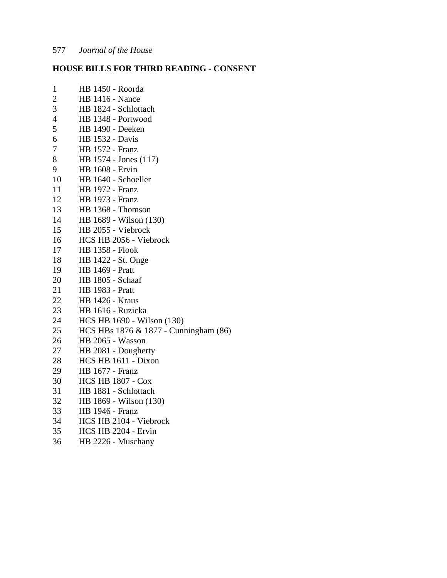## **HOUSE BILLS FOR THIRD READING - CONSENT**

| $\mathbf 1$    | HB 1450 - Roorda                      |
|----------------|---------------------------------------|
| $\overline{c}$ | <b>HB 1416 - Nance</b>                |
| 3              | HB 1824 - Schlottach                  |
| $\overline{4}$ | HB 1348 - Portwood                    |
| 5              | <b>HB</b> 1490 - Deeken               |
| 6              | <b>HB</b> 1532 - Davis                |
| 7              | <b>HB</b> 1572 - Franz                |
| 8              | HB 1574 - Jones (117)                 |
| 9              | HB 1608 - Ervin                       |
| 10             | HB 1640 - Schoeller                   |
| 11             | <b>HB</b> 1972 - Franz                |
| 12             | <b>HB</b> 1973 - Franz                |
| 13             | HB 1368 - Thomson                     |
| 14             | HB 1689 - Wilson (130)                |
| 15             | HB 2055 - Viebrock                    |
| 16             | HCS HB 2056 - Viebrock                |
| 17             | <b>HB 1358 - Flook</b>                |
| 18             | HB 1422 - St. Onge                    |
| 19             | <b>HB</b> 1469 - Pratt                |
| 20             | HB 1805 - Schaaf                      |
| 21             | <b>HB</b> 1983 - Pratt                |
| 22             | <b>HB 1426 - Kraus</b>                |
| 23             | HB 1616 - Ruzicka                     |
| 24             | HCS HB 1690 - Wilson (130)            |
| 25             | HCS HBs 1876 & 1877 - Cunningham (86) |
| 26             | HB 2065 - Wasson                      |
| 27             | HB 2081 - Dougherty                   |
| 28             | HCS HB 1611 - Dixon                   |
| 29             | <b>HB</b> 1677 - Franz                |
| 30             | <b>HCS HB 1807 - Cox</b>              |
| 31             | HB 1881 - Schlottach                  |
| 32             | HB 1869 - Wilson (130)                |
| 33             | <b>HB</b> 1946 - Franz                |
| 34             | HCS HB 2104 - Viebrock                |
| 35             | HCS HB 2204 - Ervin                   |
| 36             | HB 2226 - Muschany                    |